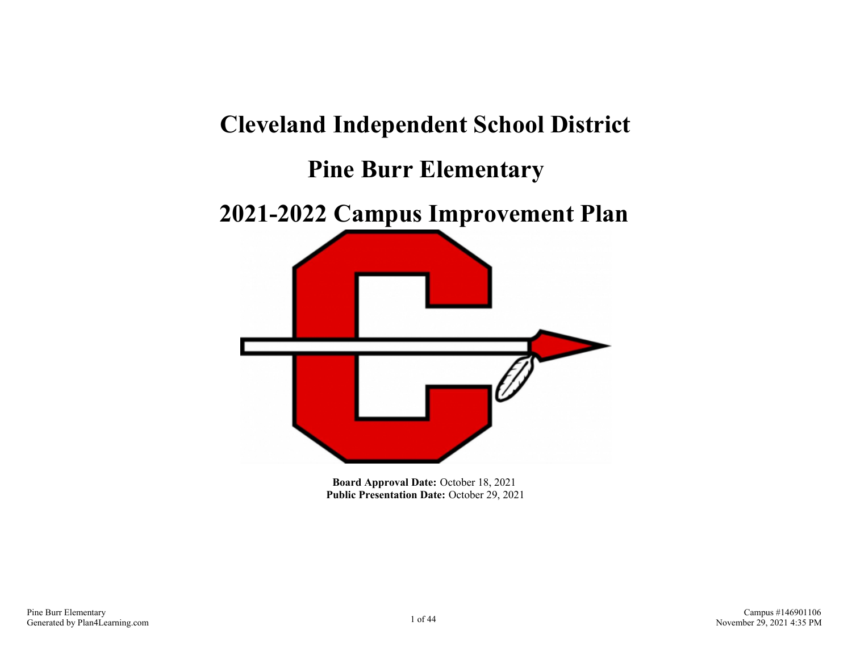# **Cleveland Independent School District Pine Burr Elementary 2021-2022 Campus Improvement Plan**

**Board Approval Date:** October 18, 2021 **Public Presentation Date:** October 29, 2021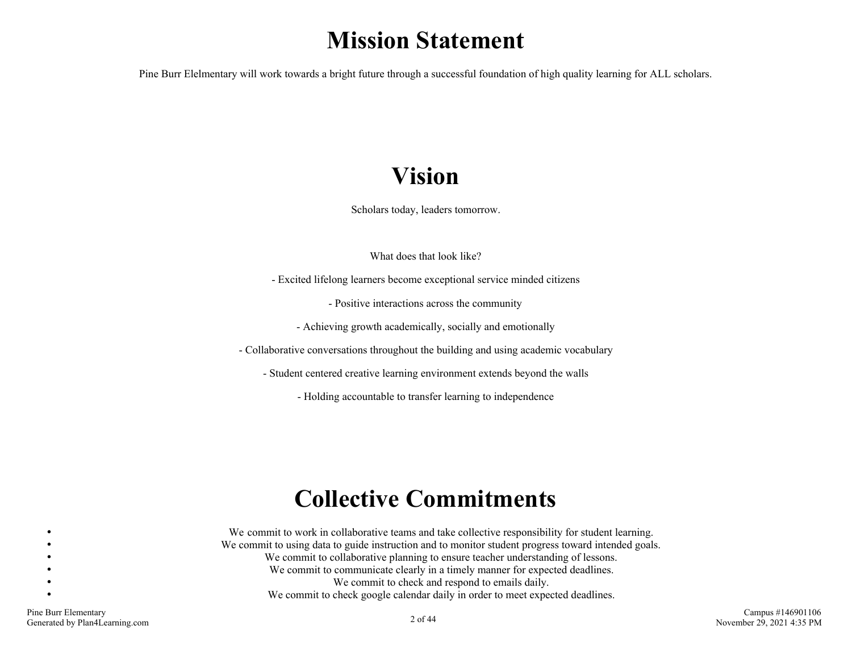# **Mission Statement**

Pine Burr Elelmentary will work towards a bright future through a successful foundation of high quality learning for ALL scholars.

# **Vision**

Scholars today, leaders tomorrow.

What does that look like?

- Excited lifelong learners become exceptional service minded citizens

- Positive interactions across the community

- Achieving growth academically, socially and emotionally

- Collaborative conversations throughout the building and using academic vocabulary

- Student centered creative learning environment extends beyond the walls

- Holding accountable to transfer learning to independence

# **Collective Commitments**

We commit to work in collaborative teams and take collective responsibility for student learning. We commit to using data to guide instruction and to monitor student progress toward intended goals. We commit to collaborative planning to ensure teacher understanding of lessons. We commit to communicate clearly in a timely manner for expected deadlines. We commit to check and respond to emails daily. We commit to check google calendar daily in order to meet expected deadlines.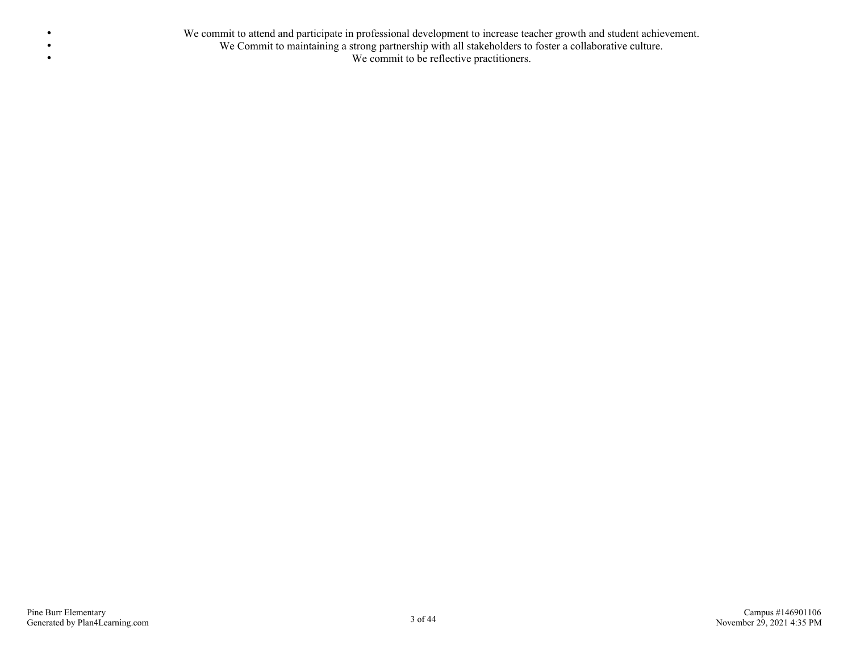We commit to attend and participate in professional development to increase teacher growth and student achievement. We Commit to maintaining a strong partnership with all stakeholders to foster a collaborative culture. We commit to be reflective practitioners.

 $\bullet$  $\bullet$  $\bullet$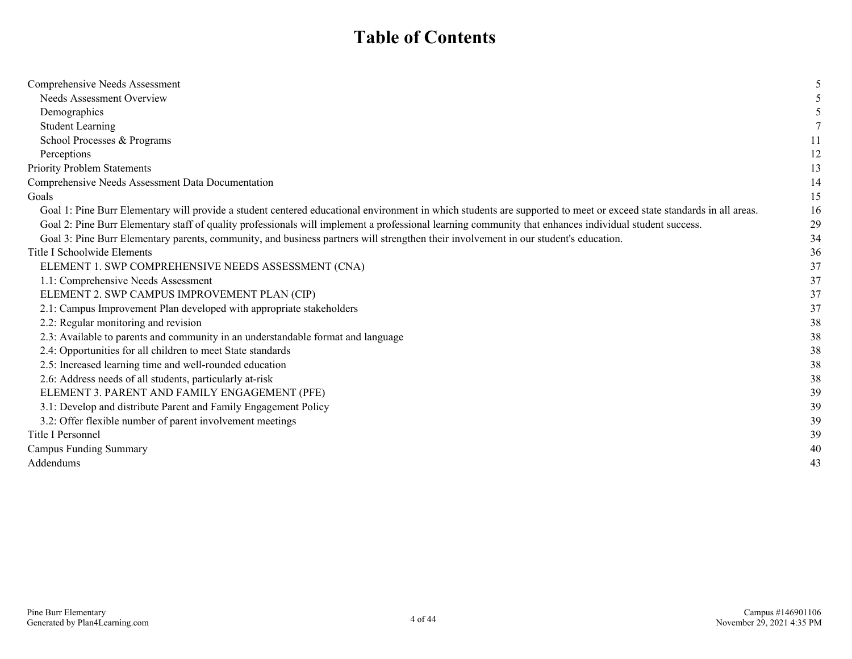# **Table of Contents**

| Comprehensive Needs Assessment                                                                                                                                       |    |
|----------------------------------------------------------------------------------------------------------------------------------------------------------------------|----|
| <b>Needs Assessment Overview</b>                                                                                                                                     |    |
| Demographics                                                                                                                                                         |    |
| <b>Student Learning</b>                                                                                                                                              |    |
| School Processes & Programs                                                                                                                                          | 11 |
| Perceptions                                                                                                                                                          | 12 |
| Priority Problem Statements                                                                                                                                          | 13 |
| Comprehensive Needs Assessment Data Documentation                                                                                                                    | 14 |
| Goals                                                                                                                                                                | 15 |
| Goal 1: Pine Burr Elementary will provide a student centered educational environment in which students are supported to meet or exceed state standards in all areas. | 16 |
| Goal 2: Pine Burr Elementary staff of quality professionals will implement a professional learning community that enhances individual student success.               | 29 |
| Goal 3: Pine Burr Elementary parents, community, and business partners will strengthen their involvement in our student's education.                                 | 34 |
| Title I Schoolwide Elements                                                                                                                                          | 36 |
| ELEMENT 1. SWP COMPREHENSIVE NEEDS ASSESSMENT (CNA)                                                                                                                  | 37 |
| 1.1: Comprehensive Needs Assessment                                                                                                                                  | 37 |
| ELEMENT 2. SWP CAMPUS IMPROVEMENT PLAN (CIP)                                                                                                                         | 37 |
| 2.1: Campus Improvement Plan developed with appropriate stakeholders                                                                                                 | 37 |
| 2.2: Regular monitoring and revision                                                                                                                                 | 38 |
| 2.3: Available to parents and community in an understandable format and language                                                                                     | 38 |
| 2.4: Opportunities for all children to meet State standards                                                                                                          | 38 |
| 2.5: Increased learning time and well-rounded education                                                                                                              | 38 |
| 2.6: Address needs of all students, particularly at-risk                                                                                                             | 38 |
| ELEMENT 3. PARENT AND FAMILY ENGAGEMENT (PFE)                                                                                                                        | 39 |
| 3.1: Develop and distribute Parent and Family Engagement Policy                                                                                                      | 39 |
| 3.2: Offer flexible number of parent involvement meetings                                                                                                            | 39 |
| Title I Personnel                                                                                                                                                    | 39 |
| <b>Campus Funding Summary</b>                                                                                                                                        | 40 |
| Addendums                                                                                                                                                            | 43 |
|                                                                                                                                                                      |    |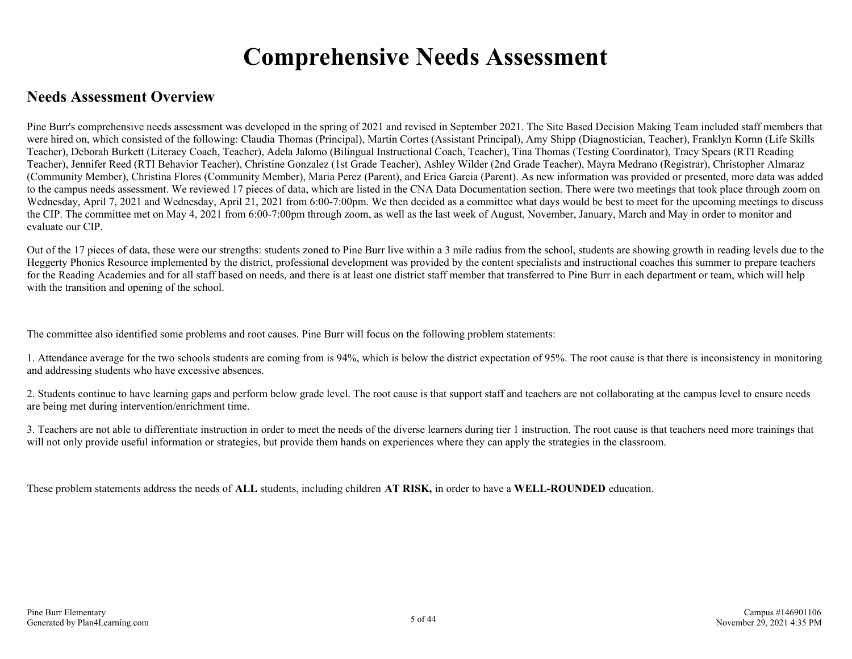# **Comprehensive Needs Assessment**

## **Needs Assessment Overview**

Pine Burr's comprehensive needs assessment was developed in the spring of 2021 and revised in September 2021. The Site Based Decision Making Team included staff members that were hired on, which consisted of the following: Claudia Thomas (Principal), Martin Cortes (Assistant Principal), Amy Shipp (Diagnostician, Teacher), Franklyn Kornn (Life Skills Teacher), Deborah Burkett (Literacy Coach, Teacher), Adela Jalomo (Bilingual Instructional Coach, Teacher), Tina Thomas (Testing Coordinator), Tracy Spears (RTI Reading Teacher), Jennifer Reed (RTI Behavior Teacher), Christine Gonzalez (1st Grade Teacher), Ashley Wilder (2nd Grade Teacher), Mayra Medrano (Registrar), Christopher Almaraz (Community Member), Christina Flores (Community Member), Maria Perez (Parent), and Erica Garcia (Parent). As new information was provided or presented, more data was added to the campus needs assessment. We reviewed 17 pieces of data, which are listed in the CNA Data Documentation section. There were two meetings that took place through zoom on Wednesday, April 7, 2021 and Wednesday, April 21, 2021 from 6:00-7:00pm. We then decided as a committee what days would be best to meet for the upcoming meetings to discuss the CIP. The committee met on May 4, 2021 from 6:00-7:00pm through zoom, as well as the last week of August, November, January, March and May in order to monitor and evaluate our CIP.

Out of the 17 pieces of data, these were our strengths: students zoned to Pine Burr live within a 3 mile radius from the school, students are showing growth in reading levels due to the Heggerty Phonics Resource implemented by the district, professional development was provided by the content specialists and instructional coaches this summer to prepare teachers for the Reading Academies and for all staff based on needs, and there is at least one district staff member that transferred to Pine Burr in each department or team, which will help with the transition and opening of the school.

The committee also identified some problems and root causes. Pine Burr will focus on the following problem statements:

1. Attendance average for the two schools students are coming from is 94%, which is below the district expectation of 95%. The root cause is that there is inconsistency in monitoring and addressing students who have excessive absences.

2. Students continue to have learning gaps and perform below grade level. The root cause is that support staff and teachers are not collaborating at the campus level to ensure needs are being met during intervention/enrichment time.

3. Teachers are not able to differentiate instruction in order to meet the needs of the diverse learners during tier 1 instruction. The root cause is that teachers need more trainings that will not only provide useful information or strategies, but provide them hands on experiences where they can apply the strategies in the classroom.

These problem statements address the needs of **ALL** students, including children **AT RISK,** in order to have a **WELL-ROUNDED** education.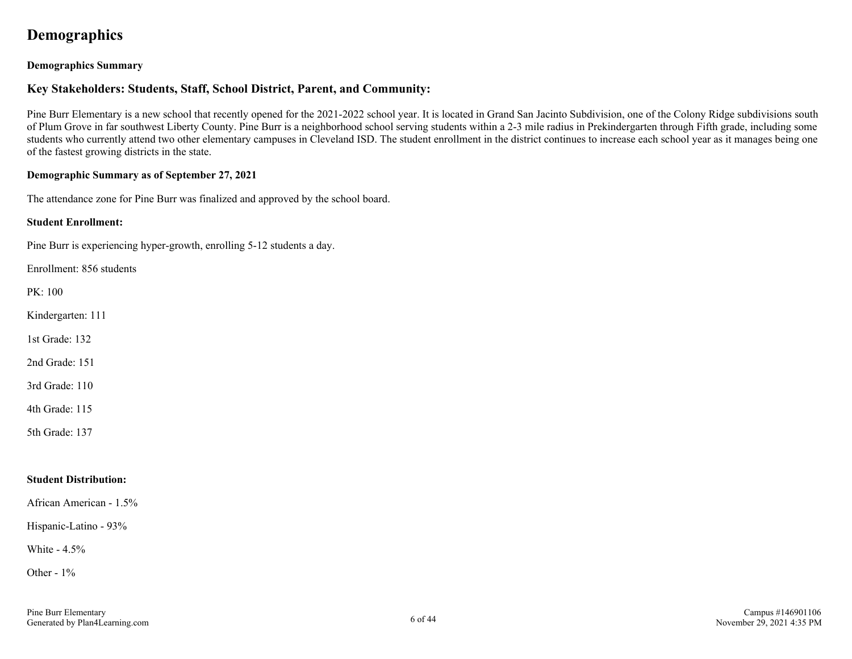## **Demographics**

#### **Demographics Summary**

#### **Key Stakeholders: Students, Staff, School District, Parent, and Community:**

Pine Burr Elementary is a new school that recently opened for the 2021-2022 school year. It is located in Grand San Jacinto Subdivision, one of the Colony Ridge subdivisions south of Plum Grove in far southwest Liberty County. Pine Burr is a neighborhood school serving students within a 2-3 mile radius in Prekindergarten through Fifth grade, including some students who currently attend two other elementary campuses in Cleveland ISD. The student enrollment in the district continues to increase each school year as it manages being one of the fastest growing districts in the state.

#### **Demographic Summary as of September 27, 2021**

The attendance zone for Pine Burr was finalized and approved by the school board.

#### **Student Enrollment:**

Pine Burr is experiencing hyper-growth, enrolling 5-12 students a day.

Enrollment: 856 students

PK: 100

Kindergarten: 111

1st Grade: 132

2nd Grade: 151

3rd Grade: 110

4th Grade: 115

5th Grade: 137

#### **Student Distribution:**

African American - 1.5%

Hispanic-Latino - 93%

White - 4.5%

Other - 1%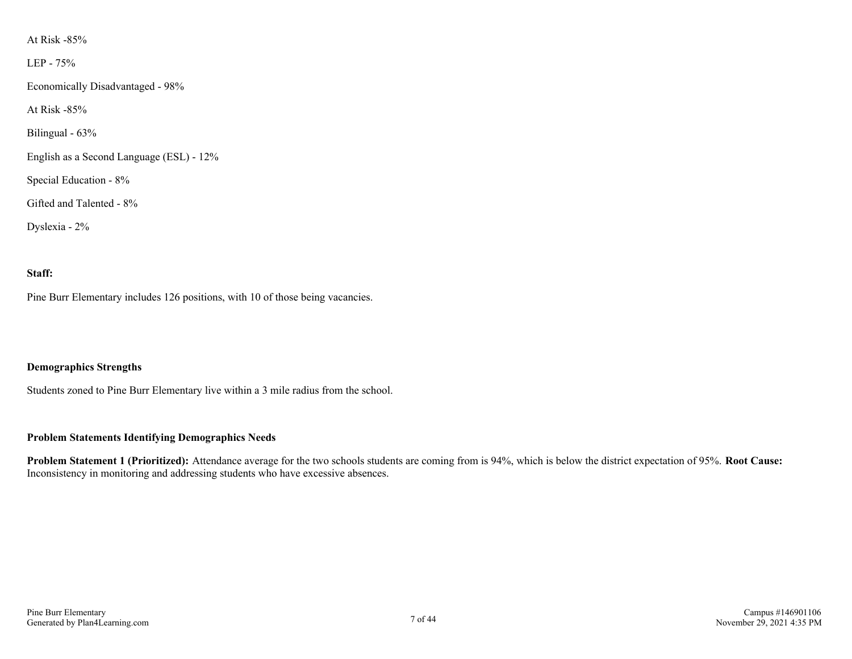#### At Risk -85%

LEP - 75%

Economically Disadvantaged - 98%

At Risk -85%

Bilingual - 63%

English as a Second Language (ESL) - 12%

Special Education - 8%

Gifted and Talented - 8%

Dyslexia - 2%

#### **Staff:**

Pine Burr Elementary includes 126 positions, with 10 of those being vacancies.

#### **Demographics Strengths**

Students zoned to Pine Burr Elementary live within a 3 mile radius from the school.

#### **Problem Statements Identifying Demographics Needs**

**Problem Statement 1 (Prioritized):** Attendance average for the two schools students are coming from is 94%, which is below the district expectation of 95%. **Root Cause:** Inconsistency in monitoring and addressing students who have excessive absences.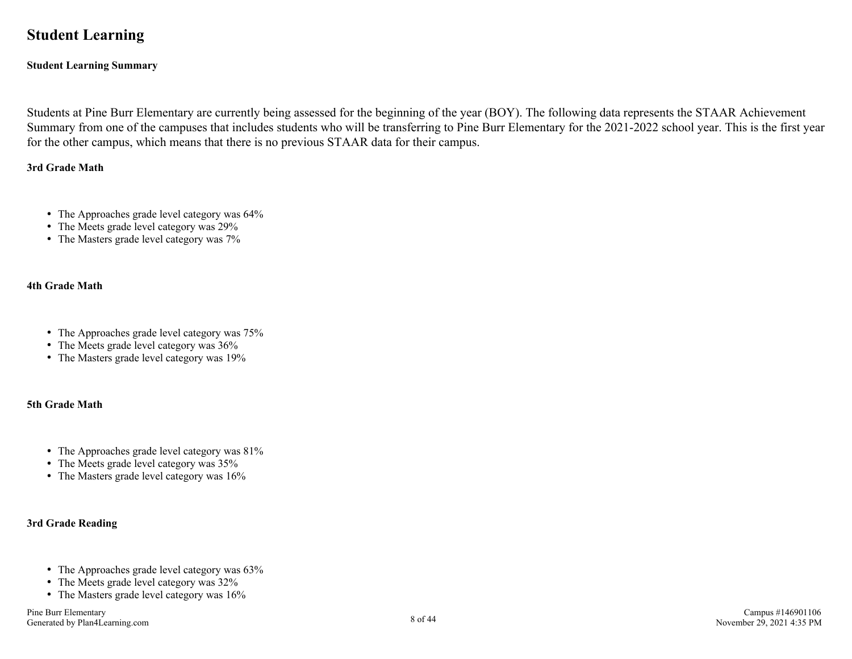## **Student Learning**

#### **Student Learning Summary**

Students at Pine Burr Elementary are currently being assessed for the beginning of the year (BOY). The following data represents the STAAR Achievement Summary from one of the campuses that includes students who will be transferring to Pine Burr Elementary for the 2021-2022 school year. This is the first year for the other campus, which means that there is no previous STAAR data for their campus.

#### **3rd Grade Math**

- The Approaches grade level category was  $64\%$
- The Meets grade level category was 29%
- The Masters grade level category was  $7\%$

#### **4th Grade Math**

- The Approaches grade level category was  $75%$
- The Meets grade level category was  $36\%$
- The Masters grade level category was 19%

#### **5th Grade Math**

- The Approaches grade level category was  $81\%$
- The Meets grade level category was  $35%$
- The Masters grade level category was  $16\%$

#### **3rd Grade Reading**

- The Approaches grade level category was  $63\%$
- The Meets grade level category was  $32\%$
- The Masters grade level category was  $16\%$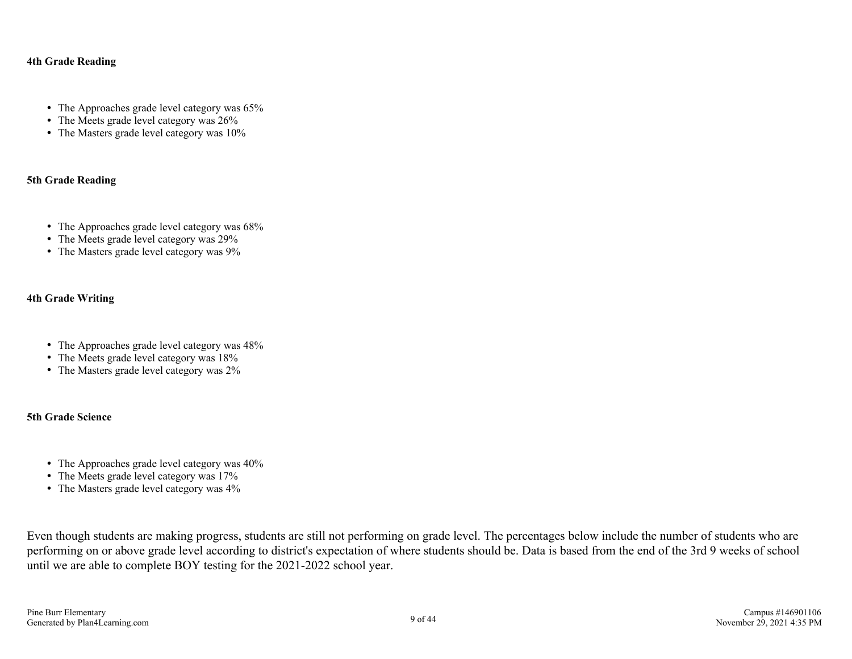#### **4th Grade Reading**

- The Approaches grade level category was 65%
- The Meets grade level category was  $26\%$
- The Masters grade level category was  $10\%$

#### **5th Grade Reading**

- The Approaches grade level category was  $68\%$
- The Meets grade level category was 29%
- The Masters grade level category was 9%

#### **4th Grade Writing**

- The Approaches grade level category was  $48\%$
- The Meets grade level category was 18%
- The Masters grade level category was  $2\%$

#### **5th Grade Science**

- The Approaches grade level category was  $40\%$
- The Meets grade level category was 17%
- The Masters grade level category was  $4\%$

Even though students are making progress, students are still not performing on grade level. The percentages below include the number of students who are performing on or above grade level according to district's expectation of where students should be. Data is based from the end of the 3rd 9 weeks of school until we are able to complete BOY testing for the 2021-2022 school year.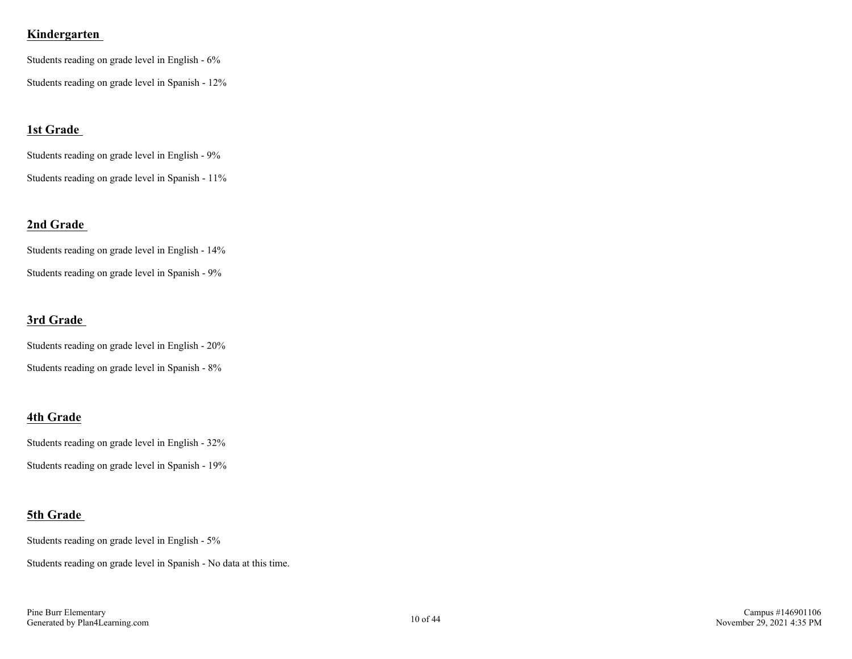#### **Kindergarten**

Students reading on grade level in English - 6% Students reading on grade level in Spanish - 12%

#### **1st Grade**

Students reading on grade level in English - 9% Students reading on grade level in Spanish - 11%

#### **2nd Grade**

Students reading on grade level in English - 14% Students reading on grade level in Spanish - 9%

#### **3rd Grade**

Students reading on grade level in English - 20% Students reading on grade level in Spanish - 8%

#### **4th Grade**

Students reading on grade level in English - 32%

# Students reading on grade level in Spanish - 19%

## **5th Grade**

Students reading on grade level in English - 5%

Students reading on grade level in Spanish - No data at this time.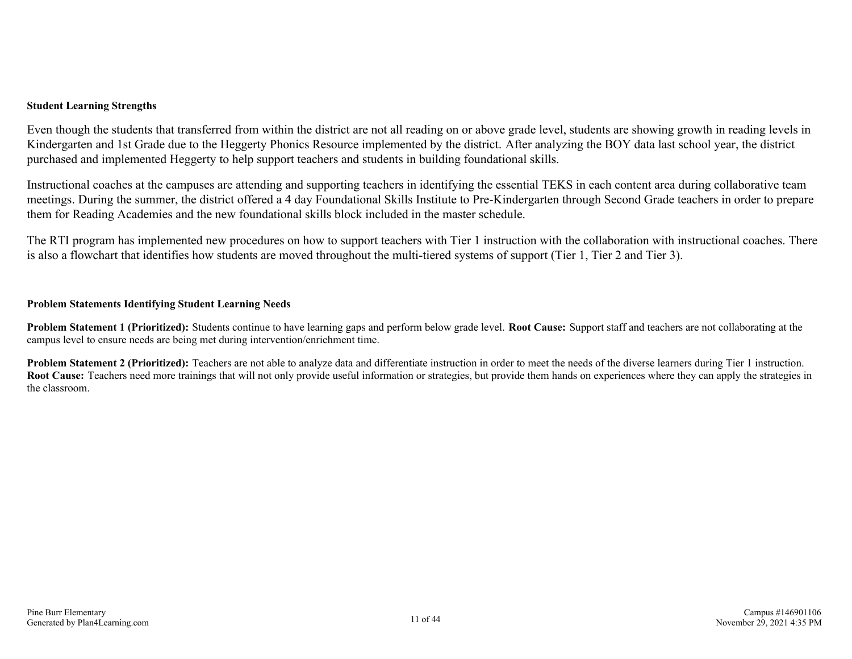#### **Student Learning Strengths**

Even though the students that transferred from within the district are not all reading on or above grade level, students are showing growth in reading levels in Kindergarten and 1st Grade due to the Heggerty Phonics Resource implemented by the district. After analyzing the BOY data last school year, the district purchased and implemented Heggerty to help support teachers and students in building foundational skills.

Instructional coaches at the campuses are attending and supporting teachers in identifying the essential TEKS in each content area during collaborative team meetings. During the summer, the district offered a 4 day Foundational Skills Institute to Pre-Kindergarten through Second Grade teachers in order to prepare them for Reading Academies and the new foundational skills block included in the master schedule.

The RTI program has implemented new procedures on how to support teachers with Tier 1 instruction with the collaboration with instructional coaches. There is also a flowchart that identifies how students are moved throughout the multi-tiered systems of support (Tier 1, Tier 2 and Tier 3).

#### **Problem Statements Identifying Student Learning Needs**

**Problem Statement 1 (Prioritized):** Students continue to have learning gaps and perform below grade level. **Root Cause:** Support staff and teachers are not collaborating at the campus level to ensure needs are being met during intervention/enrichment time.

**Problem Statement 2 (Prioritized):** Teachers are not able to analyze data and differentiate instruction in order to meet the needs of the diverse learners during Tier 1 instruction. **Root Cause:** Teachers need more trainings that will not only provide useful information or strategies, but provide them hands on experiences where they can apply the strategies in the classroom.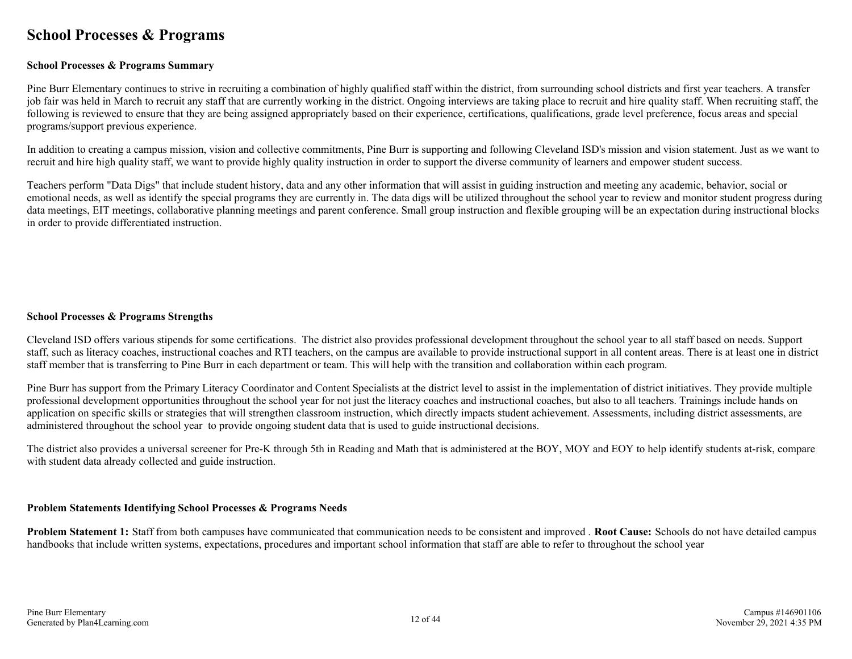## **School Processes & Programs**

#### **School Processes & Programs Summary**

Pine Burr Elementary continues to strive in recruiting a combination of highly qualified staff within the district, from surrounding school districts and first year teachers. A transfer job fair was held in March to recruit any staff that are currently working in the district. Ongoing interviews are taking place to recruit and hire quality staff. When recruiting staff, the following is reviewed to ensure that they are being assigned appropriately based on their experience, certifications, qualifications, grade level preference, focus areas and special programs/support previous experience.

In addition to creating a campus mission, vision and collective commitments, Pine Burr is supporting and following Cleveland ISD's mission and vision statement. Just as we want to recruit and hire high quality staff, we want to provide highly quality instruction in order to support the diverse community of learners and empower student success.

Teachers perform "Data Digs" that include student history, data and any other information that will assist in guiding instruction and meeting any academic, behavior, social or emotional needs, as well as identify the special programs they are currently in. The data digs will be utilized throughout the school year to review and monitor student progress during data meetings, EIT meetings, collaborative planning meetings and parent conference. Small group instruction and flexible grouping will be an expectation during instructional blocks in order to provide differentiated instruction.

#### **School Processes & Programs Strengths**

Cleveland ISD offers various stipends for some certifications. The district also provides professional development throughout the school year to all staff based on needs. Support staff, such as literacy coaches, instructional coaches and RTI teachers, on the campus are available to provide instructional support in all content areas. There is at least one in district staff member that is transferring to Pine Burr in each department or team. This will help with the transition and collaboration within each program.

Pine Burr has support from the Primary Literacy Coordinator and Content Specialists at the district level to assist in the implementation of district initiatives. They provide multiple professional development opportunities throughout the school year for not just the literacy coaches and instructional coaches, but also to all teachers. Trainings include hands on application on specific skills or strategies that will strengthen classroom instruction, which directly impacts student achievement. Assessments, including district assessments, are administered throughout the school year to provide ongoing student data that is used to guide instructional decisions.

The district also provides a universal screener for Pre-K through 5th in Reading and Math that is administered at the BOY, MOY and EOY to help identify students at-risk, compare with student data already collected and guide instruction.

#### **Problem Statements Identifying School Processes & Programs Needs**

**Problem Statement 1:** Staff from both campuses have communicated that communication needs to be consistent and improved . **Root Cause:** Schools do not have detailed campus handbooks that include written systems, expectations, procedures and important school information that staff are able to refer to throughout the school year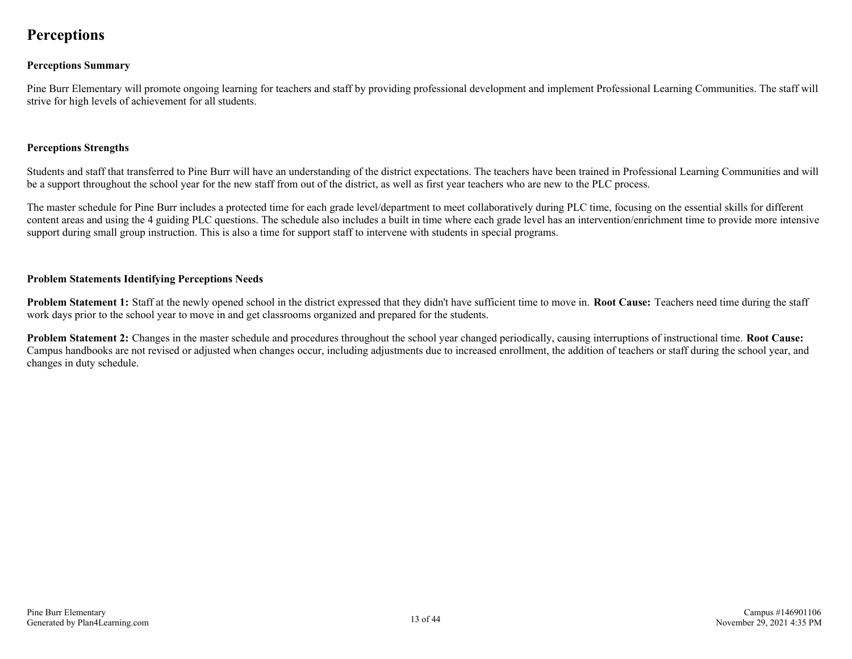## **Perceptions**

#### **Perceptions Summary**

Pine Burr Elementary will promote ongoing learning for teachers and staff by providing professional development and implement Professional Learning Communities. The staff will strive for high levels of achievement for all students.

#### **Perceptions Strengths**

Students and staff that transferred to Pine Burr will have an understanding of the district expectations. The teachers have been trained in Professional Learning Communities and will be a support throughout the school year for the new staff from out of the district, as well as first year teachers who are new to the PLC process.

The master schedule for Pine Burr includes a protected time for each grade level/department to meet collaboratively during PLC time, focusing on the essential skills for different content areas and using the 4 guiding PLC questions. The schedule also includes a built in time where each grade level has an intervention/enrichment time to provide more intensive support during small group instruction. This is also a time for support staff to intervene with students in special programs.

#### **Problem Statements Identifying Perceptions Needs**

**Problem Statement 1:** Staff at the newly opened school in the district expressed that they didn't have sufficient time to move in. **Root Cause:** Teachers need time during the staff work days prior to the school year to move in and get classrooms organized and prepared for the students.

**Problem Statement 2:** Changes in the master schedule and procedures throughout the school year changed periodically, causing interruptions of instructional time. **Root Cause:** Campus handbooks are not revised or adjusted when changes occur, including adjustments due to increased enrollment, the addition of teachers or staff during the school year, and changes in duty schedule.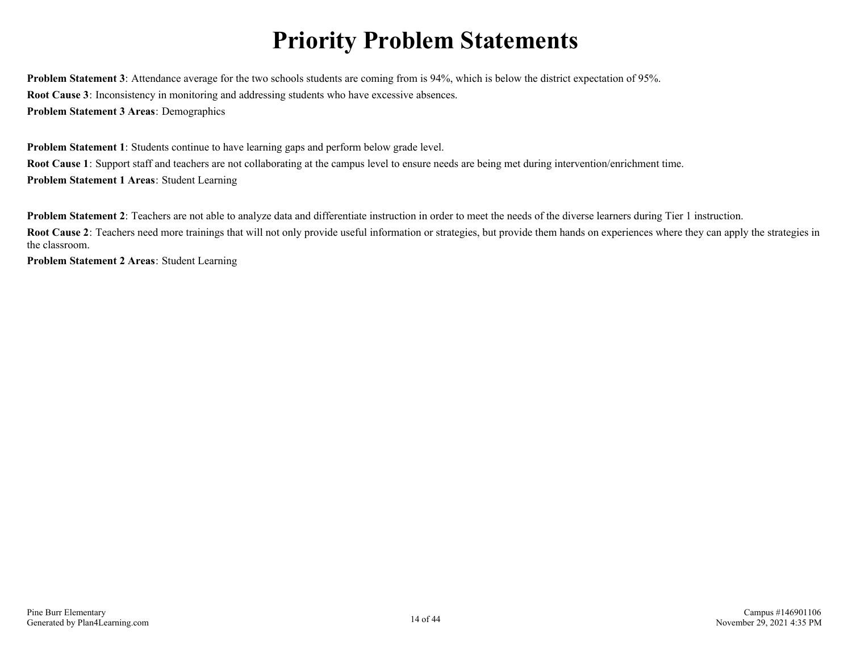# **Priority Problem Statements**

**Problem Statement 3**: Attendance average for the two schools students are coming from is 94%, which is below the district expectation of 95%. **Root Cause 3**: Inconsistency in monitoring and addressing students who have excessive absences. **Problem Statement 3 Areas**: Demographics

**Problem Statement 1**: Students continue to have learning gaps and perform below grade level. **Root Cause 1**: Support staff and teachers are not collaborating at the campus level to ensure needs are being met during intervention/enrichment time. **Problem Statement 1 Areas**: Student Learning

**Problem Statement 2**: Teachers are not able to analyze data and differentiate instruction in order to meet the needs of the diverse learners during Tier 1 instruction.

**Root Cause 2**: Teachers need more trainings that will not only provide useful information or strategies, but provide them hands on experiences where they can apply the strategies in the classroom.

**Problem Statement 2 Areas**: Student Learning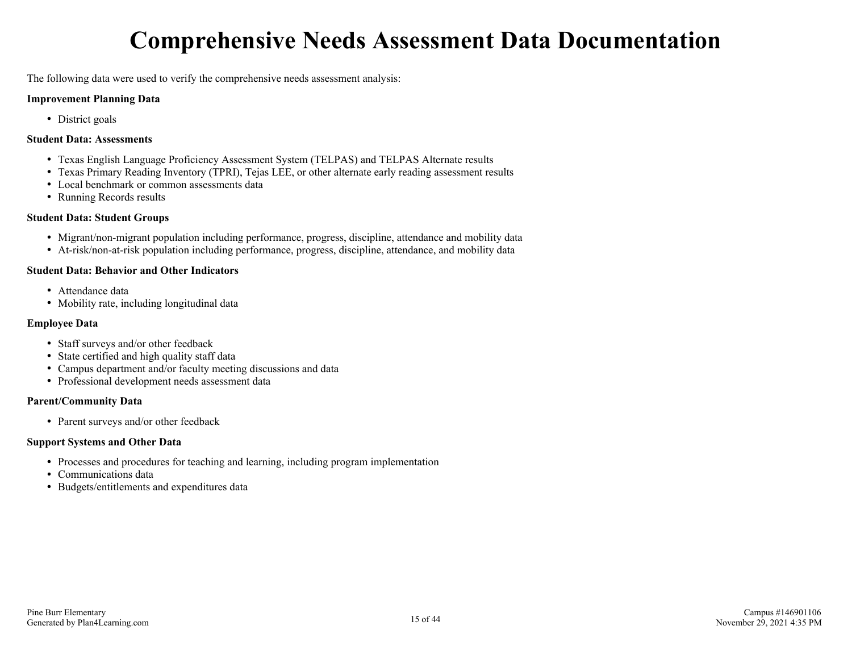# **Comprehensive Needs Assessment Data Documentation**

The following data were used to verify the comprehensive needs assessment analysis:

#### **Improvement Planning Data**

• District goals

#### **Student Data: Assessments**

- Texas English Language Proficiency Assessment System (TELPAS) and TELPAS Alternate results
- Texas Primary Reading Inventory (TPRI), Tejas LEE, or other alternate early reading assessment results
- Local benchmark or common assessments data
- Running Records results

#### **Student Data: Student Groups**

- Migrant/non-migrant population including performance, progress, discipline, attendance and mobility data
- At-risk/non-at-risk population including performance, progress, discipline, attendance, and mobility data

#### **Student Data: Behavior and Other Indicators**

- Attendance data
- Mobility rate, including longitudinal data

#### **Employee Data**

- Staff surveys and/or other feedback
- State certified and high quality staff data
- Campus department and/or faculty meeting discussions and data
- Professional development needs assessment data

#### **Parent/Community Data**

• Parent surveys and/or other feedback

#### **Support Systems and Other Data**

- Processes and procedures for teaching and learning, including program implementation
- Communications data
- Budgets/entitlements and expenditures data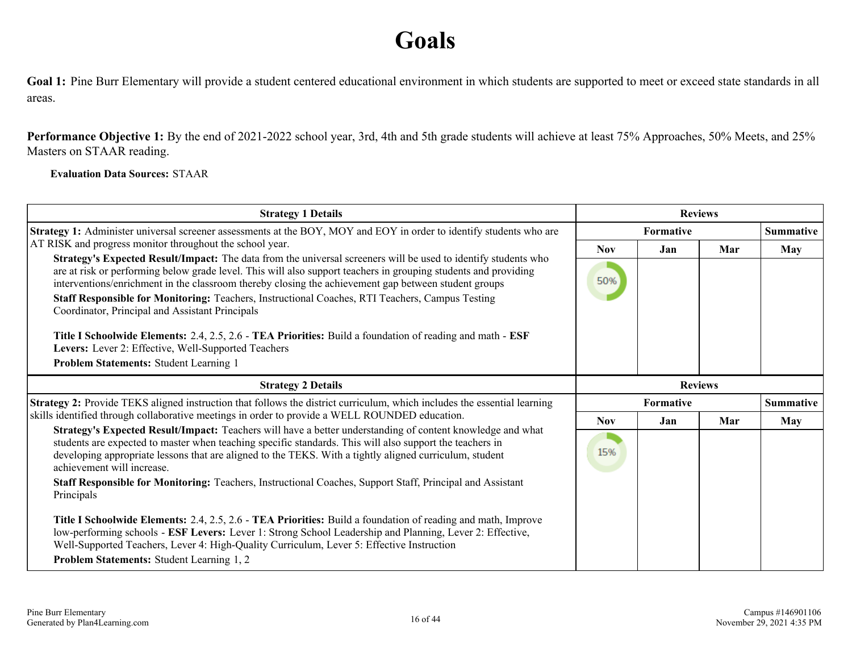# **Goals**

Goal 1: Pine Burr Elementary will provide a student centered educational environment in which students are supported to meet or exceed state standards in all areas.

**Performance Objective 1:** By the end of 2021-2022 school year, 3rd, 4th and 5th grade students will achieve at least 75% Approaches, 50% Meets, and 25% Masters on STAAR reading.

#### **Evaluation Data Sources:** STAAR

| <b>Strategy 1 Details</b>                                                                                                                                                                                                                                                                                                                                                                                                                    |                | <b>Reviews</b>   |     |                  |
|----------------------------------------------------------------------------------------------------------------------------------------------------------------------------------------------------------------------------------------------------------------------------------------------------------------------------------------------------------------------------------------------------------------------------------------------|----------------|------------------|-----|------------------|
| Strategy 1: Administer universal screener assessments at the BOY, MOY and EOY in order to identify students who are                                                                                                                                                                                                                                                                                                                          |                | <b>Formative</b> |     | <b>Summative</b> |
| AT RISK and progress monitor throughout the school year.                                                                                                                                                                                                                                                                                                                                                                                     | <b>Nov</b>     | Jan              | Mar | <b>May</b>       |
| Strategy's Expected Result/Impact: The data from the universal screeners will be used to identify students who<br>are at risk or performing below grade level. This will also support teachers in grouping students and providing<br>interventions/enrichment in the classroom thereby closing the achievement gap between student groups<br>Staff Responsible for Monitoring: Teachers, Instructional Coaches, RTI Teachers, Campus Testing | 50%            |                  |     |                  |
| Coordinator, Principal and Assistant Principals                                                                                                                                                                                                                                                                                                                                                                                              |                |                  |     |                  |
| Title I Schoolwide Elements: 2.4, 2.5, 2.6 - TEA Priorities: Build a foundation of reading and math - ESF<br>Levers: Lever 2: Effective, Well-Supported Teachers                                                                                                                                                                                                                                                                             |                |                  |     |                  |
| Problem Statements: Student Learning 1                                                                                                                                                                                                                                                                                                                                                                                                       |                |                  |     |                  |
| <b>Strategy 2 Details</b>                                                                                                                                                                                                                                                                                                                                                                                                                    | <b>Reviews</b> |                  |     |                  |
| Strategy 2: Provide TEKS aligned instruction that follows the district curriculum, which includes the essential learning                                                                                                                                                                                                                                                                                                                     | Formative      |                  |     | <b>Summative</b> |
| skills identified through collaborative meetings in order to provide a WELL ROUNDED education.                                                                                                                                                                                                                                                                                                                                               | <b>Nov</b>     | Jan              | Mar | <b>May</b>       |
| Strategy's Expected Result/Impact: Teachers will have a better understanding of content knowledge and what<br>students are expected to master when teaching specific standards. This will also support the teachers in<br>developing appropriate lessons that are aligned to the TEKS. With a tightly aligned curriculum, student<br>achievement will increase.                                                                              | 15%            |                  |     |                  |
| Staff Responsible for Monitoring: Teachers, Instructional Coaches, Support Staff, Principal and Assistant<br>Principals                                                                                                                                                                                                                                                                                                                      |                |                  |     |                  |
| Title I Schoolwide Elements: 2.4, 2.5, 2.6 - TEA Priorities: Build a foundation of reading and math, Improve<br>low-performing schools - ESF Levers: Lever 1: Strong School Leadership and Planning, Lever 2: Effective,<br>Well-Supported Teachers, Lever 4: High-Quality Curriculum, Lever 5: Effective Instruction<br>Problem Statements: Student Learning 1, 2                                                                           |                |                  |     |                  |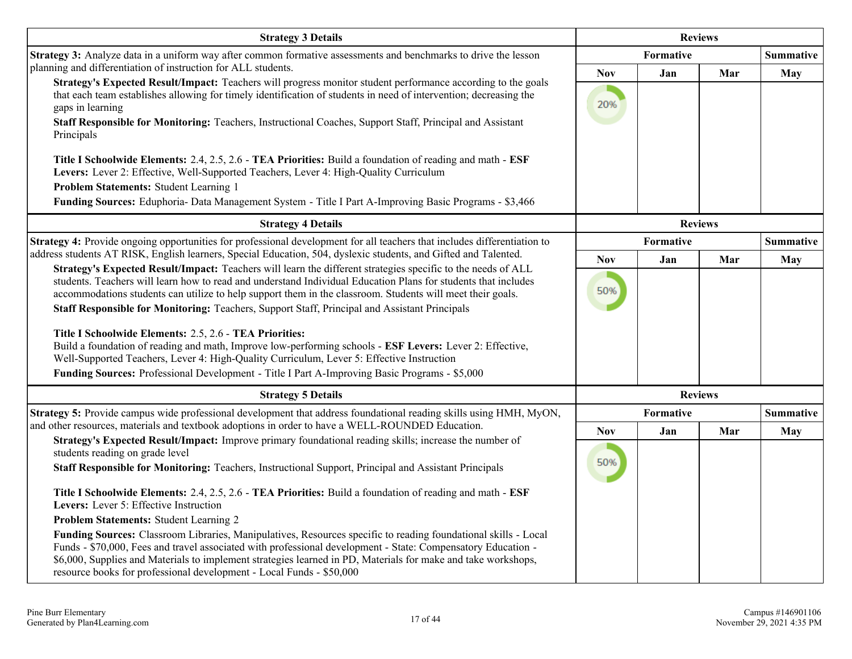| <b>Strategy 3 Details</b>                                                                                                                                                                                                                                                                                                                                                                                                                                                                                                                                                                                                                                                                                                                                                                                                                                                      | <b>Reviews</b>    |           |                |                  |
|--------------------------------------------------------------------------------------------------------------------------------------------------------------------------------------------------------------------------------------------------------------------------------------------------------------------------------------------------------------------------------------------------------------------------------------------------------------------------------------------------------------------------------------------------------------------------------------------------------------------------------------------------------------------------------------------------------------------------------------------------------------------------------------------------------------------------------------------------------------------------------|-------------------|-----------|----------------|------------------|
| Strategy 3: Analyze data in a uniform way after common formative assessments and benchmarks to drive the lesson                                                                                                                                                                                                                                                                                                                                                                                                                                                                                                                                                                                                                                                                                                                                                                |                   | Formative |                |                  |
| planning and differentiation of instruction for ALL students.<br>Strategy's Expected Result/Impact: Teachers will progress monitor student performance according to the goals<br>that each team establishes allowing for timely identification of students in need of intervention; decreasing the<br>gaps in learning<br>Staff Responsible for Monitoring: Teachers, Instructional Coaches, Support Staff, Principal and Assistant<br>Principals                                                                                                                                                                                                                                                                                                                                                                                                                              | <b>Nov</b><br>20% | Jan       | Mar            | <b>May</b>       |
| Title I Schoolwide Elements: 2.4, 2.5, 2.6 - TEA Priorities: Build a foundation of reading and math - ESF<br>Levers: Lever 2: Effective, Well-Supported Teachers, Lever 4: High-Quality Curriculum<br>Problem Statements: Student Learning 1<br>Funding Sources: Eduphoria- Data Management System - Title I Part A-Improving Basic Programs - \$3,466                                                                                                                                                                                                                                                                                                                                                                                                                                                                                                                         |                   |           |                |                  |
| <b>Strategy 4 Details</b>                                                                                                                                                                                                                                                                                                                                                                                                                                                                                                                                                                                                                                                                                                                                                                                                                                                      |                   |           | <b>Reviews</b> |                  |
| Strategy 4: Provide ongoing opportunities for professional development for all teachers that includes differentiation to                                                                                                                                                                                                                                                                                                                                                                                                                                                                                                                                                                                                                                                                                                                                                       | <b>Formative</b>  |           |                | <b>Summative</b> |
| address students AT RISK, English learners, Special Education, 504, dyslexic students, and Gifted and Talented.<br>Strategy's Expected Result/Impact: Teachers will learn the different strategies specific to the needs of ALL                                                                                                                                                                                                                                                                                                                                                                                                                                                                                                                                                                                                                                                | <b>Nov</b>        | Jan       | Mar            | May              |
| students. Teachers will learn how to read and understand Individual Education Plans for students that includes<br>accommodations students can utilize to help support them in the classroom. Students will meet their goals.<br>Staff Responsible for Monitoring: Teachers, Support Staff, Principal and Assistant Principals<br>Title I Schoolwide Elements: 2.5, 2.6 - TEA Priorities:<br>Build a foundation of reading and math, Improve low-performing schools - ESF Levers: Lever 2: Effective,<br>Well-Supported Teachers, Lever 4: High-Quality Curriculum, Lever 5: Effective Instruction                                                                                                                                                                                                                                                                              | 50%               |           |                |                  |
| Funding Sources: Professional Development - Title I Part A-Improving Basic Programs - \$5,000                                                                                                                                                                                                                                                                                                                                                                                                                                                                                                                                                                                                                                                                                                                                                                                  |                   |           |                |                  |
| <b>Strategy 5 Details</b>                                                                                                                                                                                                                                                                                                                                                                                                                                                                                                                                                                                                                                                                                                                                                                                                                                                      |                   |           | <b>Reviews</b> |                  |
| Strategy 5: Provide campus wide professional development that address foundational reading skills using HMH, MyON,<br>and other resources, materials and textbook adoptions in order to have a WELL-ROUNDED Education.                                                                                                                                                                                                                                                                                                                                                                                                                                                                                                                                                                                                                                                         |                   | Formative |                | <b>Summative</b> |
| Strategy's Expected Result/Impact: Improve primary foundational reading skills; increase the number of<br>students reading on grade level<br>Staff Responsible for Monitoring: Teachers, Instructional Support, Principal and Assistant Principals<br>Title I Schoolwide Elements: 2.4, 2.5, 2.6 - TEA Priorities: Build a foundation of reading and math - ESF<br>Levers: Lever 5: Effective Instruction<br>Problem Statements: Student Learning 2<br>Funding Sources: Classroom Libraries, Manipulatives, Resources specific to reading foundational skills - Local<br>Funds - \$70,000, Fees and travel associated with professional development - State: Compensatory Education -<br>\$6,000, Supplies and Materials to implement strategies learned in PD, Materials for make and take workshops,<br>resource books for professional development - Local Funds - \$50,000 | <b>Nov</b><br>50% | Jan       | Mar            | May              |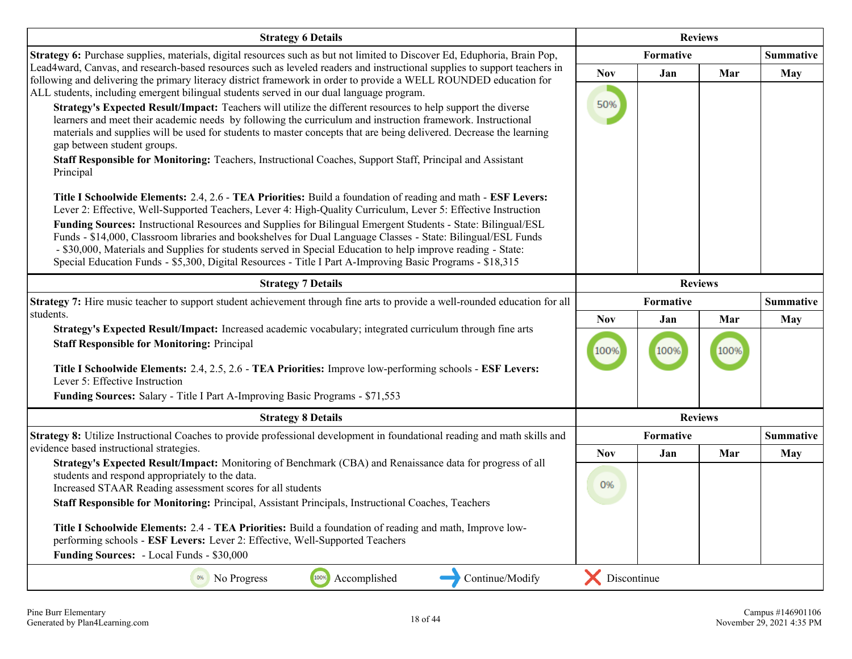| <b>Strategy 6 Details</b>                                                                                                                                                                                                                                                                                                                                                                                                                                                                                                                                                                                                                                                                                                                                                                                                                                                                                                                                                                                                                                                                                                                                                                                                                                                                                                                                                                                                                  |                   | <b>Reviews</b>                |                |                  |
|--------------------------------------------------------------------------------------------------------------------------------------------------------------------------------------------------------------------------------------------------------------------------------------------------------------------------------------------------------------------------------------------------------------------------------------------------------------------------------------------------------------------------------------------------------------------------------------------------------------------------------------------------------------------------------------------------------------------------------------------------------------------------------------------------------------------------------------------------------------------------------------------------------------------------------------------------------------------------------------------------------------------------------------------------------------------------------------------------------------------------------------------------------------------------------------------------------------------------------------------------------------------------------------------------------------------------------------------------------------------------------------------------------------------------------------------|-------------------|-------------------------------|----------------|------------------|
| Strategy 6: Purchase supplies, materials, digital resources such as but not limited to Discover Ed, Eduphoria, Brain Pop,                                                                                                                                                                                                                                                                                                                                                                                                                                                                                                                                                                                                                                                                                                                                                                                                                                                                                                                                                                                                                                                                                                                                                                                                                                                                                                                  |                   | Formative<br><b>Summative</b> |                |                  |
| Lead4ward, Canvas, and research-based resources such as leveled readers and instructional supplies to support teachers in<br>following and delivering the primary literacy district framework in order to provide a WELL ROUNDED education for<br>ALL students, including emergent bilingual students served in our dual language program.<br>Strategy's Expected Result/Impact: Teachers will utilize the different resources to help support the diverse<br>learners and meet their academic needs by following the curriculum and instruction framework. Instructional<br>materials and supplies will be used for students to master concepts that are being delivered. Decrease the learning<br>gap between student groups.<br>Staff Responsible for Monitoring: Teachers, Instructional Coaches, Support Staff, Principal and Assistant<br>Principal<br>Title I Schoolwide Elements: 2.4, 2.6 - TEA Priorities: Build a foundation of reading and math - ESF Levers:<br>Lever 2: Effective, Well-Supported Teachers, Lever 4: High-Quality Curriculum, Lever 5: Effective Instruction<br>Funding Sources: Instructional Resources and Supplies for Bilingual Emergent Students - State: Bilingual/ESL<br>Funds - \$14,000, Classroom libraries and bookshelves for Dual Language Classes - State: Bilingual/ESL Funds<br>- \$30,000, Materials and Supplies for students served in Special Education to help improve reading - State: | <b>Nov</b><br>50% | Jan                           | Mar            | <b>May</b>       |
| Special Education Funds - \$5,300, Digital Resources - Title I Part A-Improving Basic Programs - \$18,315<br><b>Strategy 7 Details</b>                                                                                                                                                                                                                                                                                                                                                                                                                                                                                                                                                                                                                                                                                                                                                                                                                                                                                                                                                                                                                                                                                                                                                                                                                                                                                                     | <b>Reviews</b>    |                               |                |                  |
| Strategy 7: Hire music teacher to support student achievement through fine arts to provide a well-rounded education for all                                                                                                                                                                                                                                                                                                                                                                                                                                                                                                                                                                                                                                                                                                                                                                                                                                                                                                                                                                                                                                                                                                                                                                                                                                                                                                                |                   | Formative<br><b>Summative</b> |                |                  |
| students.                                                                                                                                                                                                                                                                                                                                                                                                                                                                                                                                                                                                                                                                                                                                                                                                                                                                                                                                                                                                                                                                                                                                                                                                                                                                                                                                                                                                                                  | <b>Nov</b>        | Jan                           | Mar            | <b>May</b>       |
| Strategy's Expected Result/Impact: Increased academic vocabulary; integrated curriculum through fine arts<br><b>Staff Responsible for Monitoring: Principal</b>                                                                                                                                                                                                                                                                                                                                                                                                                                                                                                                                                                                                                                                                                                                                                                                                                                                                                                                                                                                                                                                                                                                                                                                                                                                                            | 100%              | 100%                          | 100%           |                  |
| Title I Schoolwide Elements: 2.4, 2.5, 2.6 - TEA Priorities: Improve low-performing schools - ESF Levers:<br>Lever 5: Effective Instruction                                                                                                                                                                                                                                                                                                                                                                                                                                                                                                                                                                                                                                                                                                                                                                                                                                                                                                                                                                                                                                                                                                                                                                                                                                                                                                |                   |                               |                |                  |
| Funding Sources: Salary - Title I Part A-Improving Basic Programs - \$71,553                                                                                                                                                                                                                                                                                                                                                                                                                                                                                                                                                                                                                                                                                                                                                                                                                                                                                                                                                                                                                                                                                                                                                                                                                                                                                                                                                               |                   |                               |                |                  |
| <b>Strategy 8 Details</b>                                                                                                                                                                                                                                                                                                                                                                                                                                                                                                                                                                                                                                                                                                                                                                                                                                                                                                                                                                                                                                                                                                                                                                                                                                                                                                                                                                                                                  |                   |                               | <b>Reviews</b> |                  |
| Strategy 8: Utilize Instructional Coaches to provide professional development in foundational reading and math skills and                                                                                                                                                                                                                                                                                                                                                                                                                                                                                                                                                                                                                                                                                                                                                                                                                                                                                                                                                                                                                                                                                                                                                                                                                                                                                                                  |                   | Formative                     |                | <b>Summative</b> |
| evidence based instructional strategies.<br>Strategy's Expected Result/Impact: Monitoring of Benchmark (CBA) and Renaissance data for progress of all<br>students and respond appropriately to the data.<br>Increased STAAR Reading assessment scores for all students<br>Staff Responsible for Monitoring: Principal, Assistant Principals, Instructional Coaches, Teachers<br>Title I Schoolwide Elements: 2.4 - TEA Priorities: Build a foundation of reading and math, Improve low-<br>performing schools - ESF Levers: Lever 2: Effective, Well-Supported Teachers<br>Funding Sources: - Local Funds - \$30,000                                                                                                                                                                                                                                                                                                                                                                                                                                                                                                                                                                                                                                                                                                                                                                                                                       | <b>Nov</b><br>0%  | Jan                           | Mar            | <b>May</b>       |
| 100%<br>Accomplished<br>Continue/Modify<br><sup>0%</sup> No Progress                                                                                                                                                                                                                                                                                                                                                                                                                                                                                                                                                                                                                                                                                                                                                                                                                                                                                                                                                                                                                                                                                                                                                                                                                                                                                                                                                                       | Discontinue       |                               |                |                  |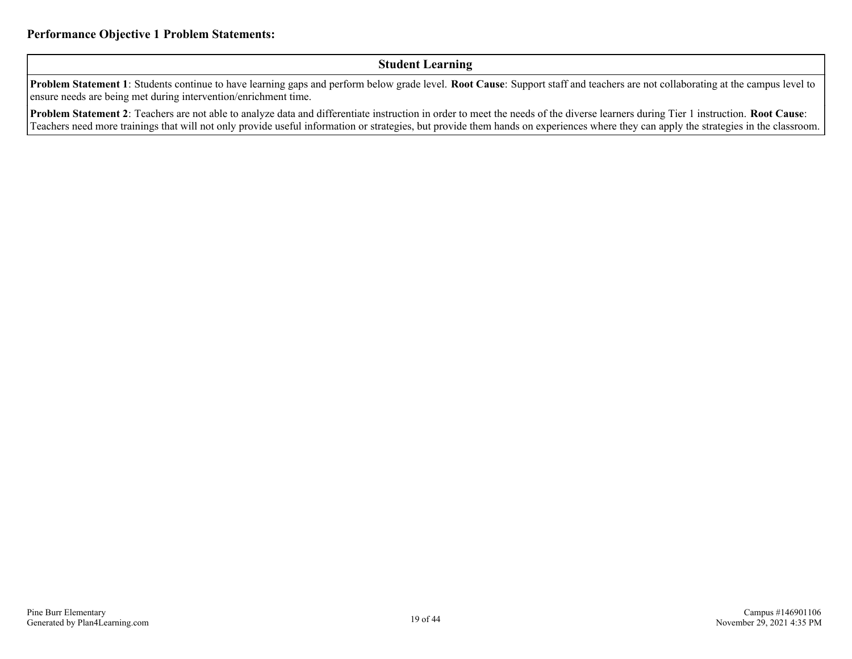#### **Student Learning**

**Problem Statement 1**: Students continue to have learning gaps and perform below grade level. **Root Cause**: Support staff and teachers are not collaborating at the campus level to ensure needs are being met during intervention/enrichment time.

**Problem Statement 2**: Teachers are not able to analyze data and differentiate instruction in order to meet the needs of the diverse learners during Tier 1 instruction. **Root Cause**: Teachers need more trainings that will not only provide useful information or strategies, but provide them hands on experiences where they can apply the strategies in the classroom.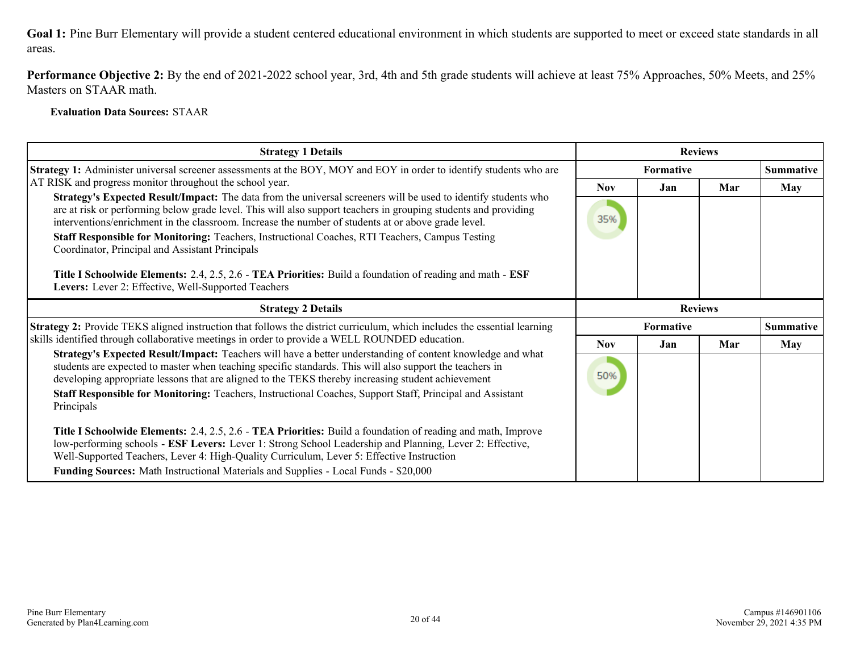**Performance Objective 2:** By the end of 2021-2022 school year, 3rd, 4th and 5th grade students will achieve at least 75% Approaches, 50% Meets, and 25% Masters on STAAR math.

**Evaluation Data Sources:** STAAR

| <b>Strategy 1 Details</b>                                                                                                                                                                                                                                                                                                                | <b>Reviews</b> |     |                  |                  |
|------------------------------------------------------------------------------------------------------------------------------------------------------------------------------------------------------------------------------------------------------------------------------------------------------------------------------------------|----------------|-----|------------------|------------------|
| <b>Strategy 1:</b> Administer universal screener assessments at the BOY, MOY and EOY in order to identify students who are                                                                                                                                                                                                               |                |     |                  | <b>Summative</b> |
| AT RISK and progress monitor throughout the school year.                                                                                                                                                                                                                                                                                 | Nov            | Jan | Mar              | May              |
| Strategy's Expected Result/Impact: The data from the universal screeners will be used to identify students who<br>are at risk or performing below grade level. This will also support teachers in grouping students and providing<br>interventions/enrichment in the classroom. Increase the number of students at or above grade level. | 35%            |     |                  |                  |
| Staff Responsible for Monitoring: Teachers, Instructional Coaches, RTI Teachers, Campus Testing<br>Coordinator, Principal and Assistant Principals                                                                                                                                                                                       |                |     |                  |                  |
| Title I Schoolwide Elements: 2.4, 2.5, 2.6 - TEA Priorities: Build a foundation of reading and math - ESF<br>Levers: Lever 2: Effective, Well-Supported Teachers                                                                                                                                                                         |                |     |                  |                  |
| <b>Strategy 2 Details</b>                                                                                                                                                                                                                                                                                                                | <b>Reviews</b> |     |                  |                  |
| <b>Strategy 2:</b> Provide TEKS aligned instruction that follows the district curriculum, which includes the essential learning                                                                                                                                                                                                          | Formative      |     | <b>Summative</b> |                  |
| skills identified through collaborative meetings in order to provide a WELL ROUNDED education.                                                                                                                                                                                                                                           | <b>Nov</b>     | Jan | Mar              | May              |
| Strategy's Expected Result/Impact: Teachers will have a better understanding of content knowledge and what<br>students are expected to master when teaching specific standards. This will also support the teachers in<br>developing appropriate lessons that are aligned to the TEKS thereby increasing student achievement             | 50%            |     |                  |                  |
| Staff Responsible for Monitoring: Teachers, Instructional Coaches, Support Staff, Principal and Assistant<br>Principals                                                                                                                                                                                                                  |                |     |                  |                  |
| Title I Schoolwide Elements: 2.4, 2.5, 2.6 - TEA Priorities: Build a foundation of reading and math, Improve<br>low-performing schools - ESF Levers: Lever 1: Strong School Leadership and Planning, Lever 2: Effective,                                                                                                                 |                |     |                  |                  |
| Well-Supported Teachers, Lever 4: High-Quality Curriculum, Lever 5: Effective Instruction                                                                                                                                                                                                                                                |                |     |                  |                  |
| Funding Sources: Math Instructional Materials and Supplies - Local Funds - \$20,000                                                                                                                                                                                                                                                      |                |     |                  |                  |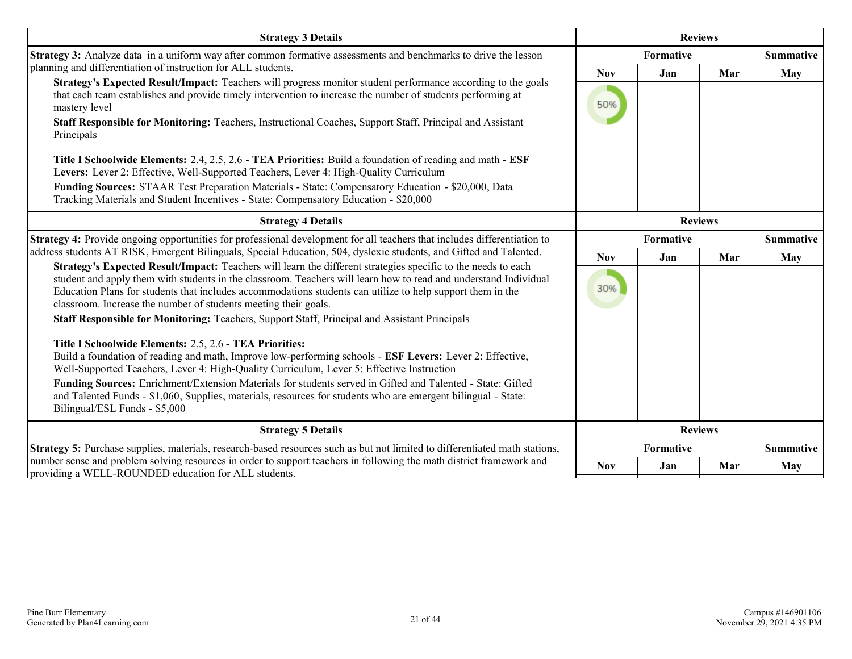| <b>Strategy 3 Details</b>                                                                                                                                                                                                                                                                                                                                                                                                                                                                                                                                                                                                                                                                                                                                                                                                                                                                                                              | <b>Reviews</b>    |           |     |                  |
|----------------------------------------------------------------------------------------------------------------------------------------------------------------------------------------------------------------------------------------------------------------------------------------------------------------------------------------------------------------------------------------------------------------------------------------------------------------------------------------------------------------------------------------------------------------------------------------------------------------------------------------------------------------------------------------------------------------------------------------------------------------------------------------------------------------------------------------------------------------------------------------------------------------------------------------|-------------------|-----------|-----|------------------|
| Strategy 3: Analyze data in a uniform way after common formative assessments and benchmarks to drive the lesson                                                                                                                                                                                                                                                                                                                                                                                                                                                                                                                                                                                                                                                                                                                                                                                                                        | Formative         |           |     | <b>Summative</b> |
| planning and differentiation of instruction for ALL students.<br>Strategy's Expected Result/Impact: Teachers will progress monitor student performance according to the goals<br>that each team establishes and provide timely intervention to increase the number of students performing at<br>mastery level<br>Staff Responsible for Monitoring: Teachers, Instructional Coaches, Support Staff, Principal and Assistant<br>Principals                                                                                                                                                                                                                                                                                                                                                                                                                                                                                               | <b>Nov</b><br>50% | Jan       | Mar | May              |
| Title I Schoolwide Elements: 2.4, 2.5, 2.6 - TEA Priorities: Build a foundation of reading and math - ESF<br>Levers: Lever 2: Effective, Well-Supported Teachers, Lever 4: High-Quality Curriculum<br>Funding Sources: STAAR Test Preparation Materials - State: Compensatory Education - \$20,000, Data<br>Tracking Materials and Student Incentives - State: Compensatory Education - \$20,000                                                                                                                                                                                                                                                                                                                                                                                                                                                                                                                                       |                   |           |     |                  |
| <b>Strategy 4 Details</b>                                                                                                                                                                                                                                                                                                                                                                                                                                                                                                                                                                                                                                                                                                                                                                                                                                                                                                              | <b>Reviews</b>    |           |     |                  |
| Strategy 4: Provide ongoing opportunities for professional development for all teachers that includes differentiation to<br>address students AT RISK, Emergent Bilinguals, Special Education, 504, dyslexic students, and Gifted and Talented.<br>Strategy's Expected Result/Impact: Teachers will learn the different strategies specific to the needs to each                                                                                                                                                                                                                                                                                                                                                                                                                                                                                                                                                                        | Formative         |           |     | <b>Summative</b> |
|                                                                                                                                                                                                                                                                                                                                                                                                                                                                                                                                                                                                                                                                                                                                                                                                                                                                                                                                        | <b>Nov</b>        | Jan       | Mar | <b>May</b>       |
| student and apply them with students in the classroom. Teachers will learn how to read and understand Individual<br>Education Plans for students that includes accommodations students can utilize to help support them in the<br>classroom. Increase the number of students meeting their goals.<br>Staff Responsible for Monitoring: Teachers, Support Staff, Principal and Assistant Principals<br>Title I Schoolwide Elements: 2.5, 2.6 - TEA Priorities:<br>Build a foundation of reading and math, Improve low-performing schools - ESF Levers: Lever 2: Effective,<br>Well-Supported Teachers, Lever 4: High-Quality Curriculum, Lever 5: Effective Instruction<br>Funding Sources: Enrichment/Extension Materials for students served in Gifted and Talented - State: Gifted<br>and Talented Funds - \$1,060, Supplies, materials, resources for students who are emergent bilingual - State:<br>Bilingual/ESL Funds - \$5,000 | 30%               |           |     |                  |
| <b>Strategy 5 Details</b>                                                                                                                                                                                                                                                                                                                                                                                                                                                                                                                                                                                                                                                                                                                                                                                                                                                                                                              | <b>Reviews</b>    |           |     |                  |
| Strategy 5: Purchase supplies, materials, research-based resources such as but not limited to differentiated math stations,                                                                                                                                                                                                                                                                                                                                                                                                                                                                                                                                                                                                                                                                                                                                                                                                            |                   | Formative |     | <b>Summative</b> |
| number sense and problem solving resources in order to support teachers in following the math district framework and<br>providing a WELL-ROUNDED education for ALL students.                                                                                                                                                                                                                                                                                                                                                                                                                                                                                                                                                                                                                                                                                                                                                           | <b>Nov</b>        | Jan       | Mar | May              |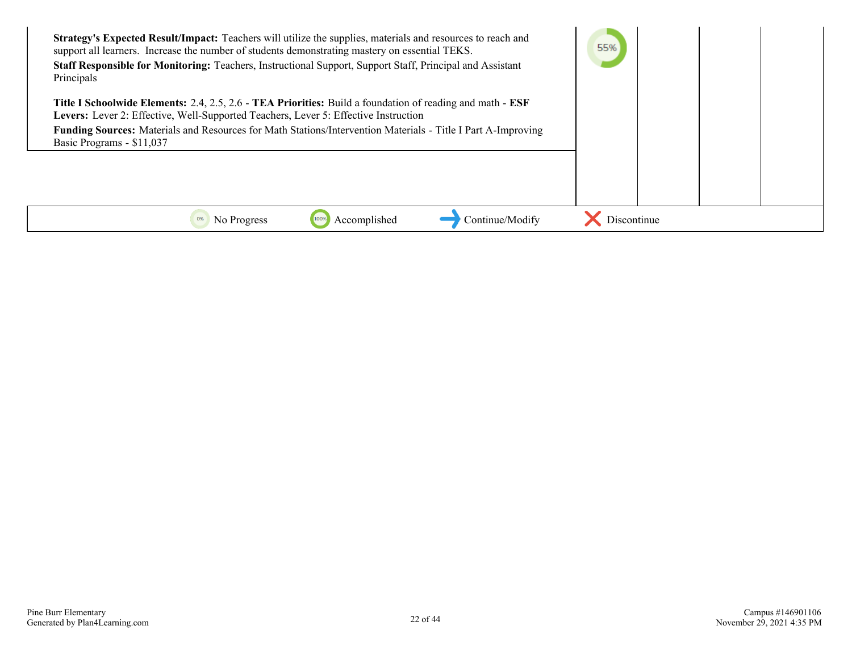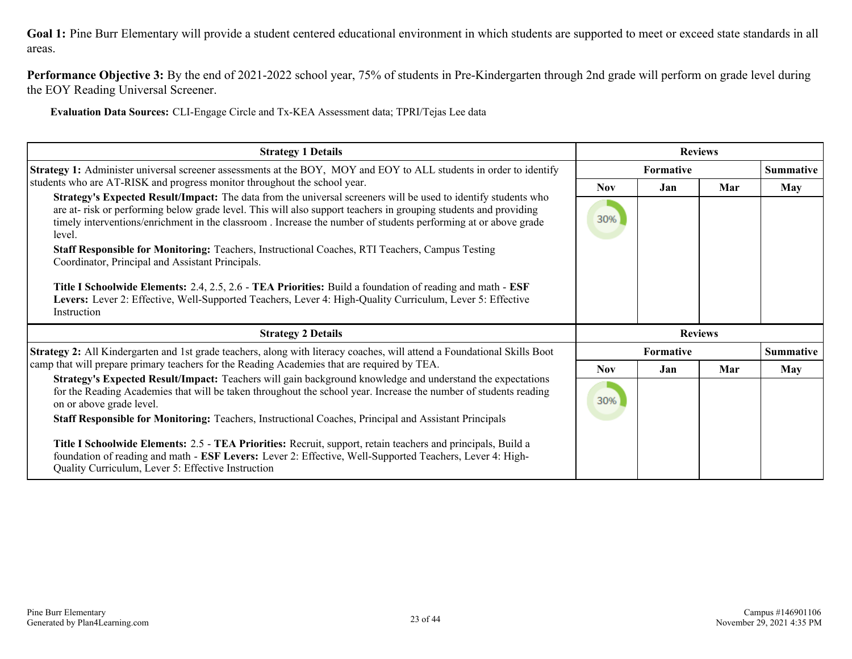**Performance Objective 3:** By the end of 2021-2022 school year, 75% of students in Pre-Kindergarten through 2nd grade will perform on grade level during the EOY Reading Universal Screener.

**Evaluation Data Sources:** CLI-Engage Circle and Tx-KEA Assessment data; TPRI/Tejas Lee data

| <b>Strategy 1 Details</b>                                                                                                                                                                                                                                                                                                                                           |            | <b>Reviews</b>   |     |                  |
|---------------------------------------------------------------------------------------------------------------------------------------------------------------------------------------------------------------------------------------------------------------------------------------------------------------------------------------------------------------------|------------|------------------|-----|------------------|
| <b>Strategy 1:</b> Administer universal screener assessments at the BOY, MOY and EOY to ALL students in order to identify                                                                                                                                                                                                                                           |            | Formative        |     | <b>Summative</b> |
| students who are AT-RISK and progress monitor throughout the school year.                                                                                                                                                                                                                                                                                           | <b>Nov</b> | Jan              | Mar | <b>May</b>       |
| Strategy's Expected Result/Impact: The data from the universal screeners will be used to identify students who<br>are at- risk or performing below grade level. This will also support teachers in grouping students and providing<br>timely interventions/enrichment in the classroom. Increase the number of students performing at or above grade<br>level.      | 30%        |                  |     |                  |
| Staff Responsible for Monitoring: Teachers, Instructional Coaches, RTI Teachers, Campus Testing<br>Coordinator, Principal and Assistant Principals.                                                                                                                                                                                                                 |            |                  |     |                  |
| Title I Schoolwide Elements: 2.4, 2.5, 2.6 - TEA Priorities: Build a foundation of reading and math - ESF<br>Levers: Lever 2: Effective, Well-Supported Teachers, Lever 4: High-Quality Curriculum, Lever 5: Effective<br>Instruction                                                                                                                               |            |                  |     |                  |
| <b>Strategy 2 Details</b>                                                                                                                                                                                                                                                                                                                                           |            | <b>Reviews</b>   |     |                  |
| Strategy 2: All Kindergarten and 1st grade teachers, along with literacy coaches, will attend a Foundational Skills Boot                                                                                                                                                                                                                                            |            | <b>Formative</b> |     | <b>Summative</b> |
| camp that will prepare primary teachers for the Reading Academies that are required by TEA.                                                                                                                                                                                                                                                                         | <b>Nov</b> | Jan              | Mar | <b>May</b>       |
| Strategy's Expected Result/Impact: Teachers will gain background knowledge and understand the expectations<br>for the Reading Academies that will be taken throughout the school year. Increase the number of students reading<br>on or above grade level.<br>Staff Responsible for Monitoring: Teachers, Instructional Coaches, Principal and Assistant Principals | 30%        |                  |     |                  |
| Title I Schoolwide Elements: 2.5 - TEA Priorities: Recruit, support, retain teachers and principals, Build a<br>foundation of reading and math - ESF Levers: Lever 2: Effective, Well-Supported Teachers, Lever 4: High-<br>Quality Curriculum, Lever 5: Effective Instruction                                                                                      |            |                  |     |                  |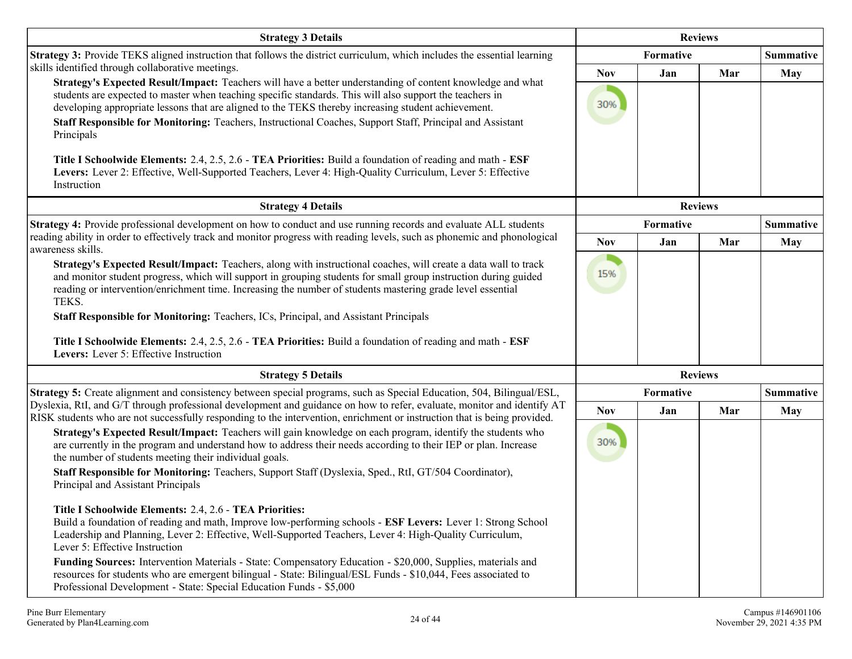| <b>Strategy 3 Details</b>                                                                                                                                                                                                                                                                                                                                                                                                                                                                                                                                                                                                                                                                                                               | <b>Reviews</b>    |                |     |                  |
|-----------------------------------------------------------------------------------------------------------------------------------------------------------------------------------------------------------------------------------------------------------------------------------------------------------------------------------------------------------------------------------------------------------------------------------------------------------------------------------------------------------------------------------------------------------------------------------------------------------------------------------------------------------------------------------------------------------------------------------------|-------------------|----------------|-----|------------------|
| Strategy 3: Provide TEKS aligned instruction that follows the district curriculum, which includes the essential learning                                                                                                                                                                                                                                                                                                                                                                                                                                                                                                                                                                                                                |                   | Formative      |     |                  |
| skills identified through collaborative meetings.<br>Strategy's Expected Result/Impact: Teachers will have a better understanding of content knowledge and what<br>students are expected to master when teaching specific standards. This will also support the teachers in<br>developing appropriate lessons that are aligned to the TEKS thereby increasing student achievement.<br>Staff Responsible for Monitoring: Teachers, Instructional Coaches, Support Staff, Principal and Assistant<br>Principals<br>Title I Schoolwide Elements: 2.4, 2.5, 2.6 - TEA Priorities: Build a foundation of reading and math - ESF<br>Levers: Lever 2: Effective, Well-Supported Teachers, Lever 4: High-Quality Curriculum, Lever 5: Effective | <b>Nov</b><br>30% | Jan            | Mar | <b>May</b>       |
| Instruction                                                                                                                                                                                                                                                                                                                                                                                                                                                                                                                                                                                                                                                                                                                             |                   |                |     |                  |
| <b>Strategy 4 Details</b>                                                                                                                                                                                                                                                                                                                                                                                                                                                                                                                                                                                                                                                                                                               |                   | <b>Reviews</b> |     |                  |
| Strategy 4: Provide professional development on how to conduct and use running records and evaluate ALL students<br>reading ability in order to effectively track and monitor progress with reading levels, such as phonemic and phonological                                                                                                                                                                                                                                                                                                                                                                                                                                                                                           |                   | Formative      |     | <b>Summative</b> |
| awareness skills.                                                                                                                                                                                                                                                                                                                                                                                                                                                                                                                                                                                                                                                                                                                       | <b>Nov</b>        | Jan            | Mar | <b>May</b>       |
| Strategy's Expected Result/Impact: Teachers, along with instructional coaches, will create a data wall to track<br>and monitor student progress, which will support in grouping students for small group instruction during guided<br>reading or intervention/enrichment time. Increasing the number of students mastering grade level essential<br>TEKS.<br>Staff Responsible for Monitoring: Teachers, ICs, Principal, and Assistant Principals<br>Title I Schoolwide Elements: 2.4, 2.5, 2.6 - TEA Priorities: Build a foundation of reading and math - ESF<br>Levers: Lever 5: Effective Instruction                                                                                                                                | 15%               |                |     |                  |
| <b>Strategy 5 Details</b>                                                                                                                                                                                                                                                                                                                                                                                                                                                                                                                                                                                                                                                                                                               |                   | <b>Reviews</b> |     |                  |
| Strategy 5: Create alignment and consistency between special programs, such as Special Education, 504, Bilingual/ESL,                                                                                                                                                                                                                                                                                                                                                                                                                                                                                                                                                                                                                   | Formative         |                |     | <b>Summative</b> |
| Dyslexia, RtI, and G/T through professional development and guidance on how to refer, evaluate, monitor and identify AT<br>RISK students who are not successfully responding to the intervention, enrichment or instruction that is being provided.                                                                                                                                                                                                                                                                                                                                                                                                                                                                                     | <b>Nov</b>        | Jan            | Mar | <b>May</b>       |
| Strategy's Expected Result/Impact: Teachers will gain knowledge on each program, identify the students who<br>are currently in the program and understand how to address their needs according to their IEP or plan. Increase<br>the number of students meeting their individual goals.<br>Staff Responsible for Monitoring: Teachers, Support Staff (Dyslexia, Sped., RtI, GT/504 Coordinator),<br>Principal and Assistant Principals<br>Title I Schoolwide Elements: 2.4, 2.6 - TEA Priorities:<br>Build a foundation of reading and math, Improve low-performing schools - ESF Levers: Lever 1: Strong School                                                                                                                        | 30%               |                |     |                  |
| Leadership and Planning, Lever 2: Effective, Well-Supported Teachers, Lever 4: High-Quality Curriculum,<br>Lever 5: Effective Instruction                                                                                                                                                                                                                                                                                                                                                                                                                                                                                                                                                                                               |                   |                |     |                  |
| Funding Sources: Intervention Materials - State: Compensatory Education - \$20,000, Supplies, materials and<br>resources for students who are emergent bilingual - State: Bilingual/ESL Funds - \$10,044, Fees associated to<br>Professional Development - State: Special Education Funds - \$5,000                                                                                                                                                                                                                                                                                                                                                                                                                                     |                   |                |     |                  |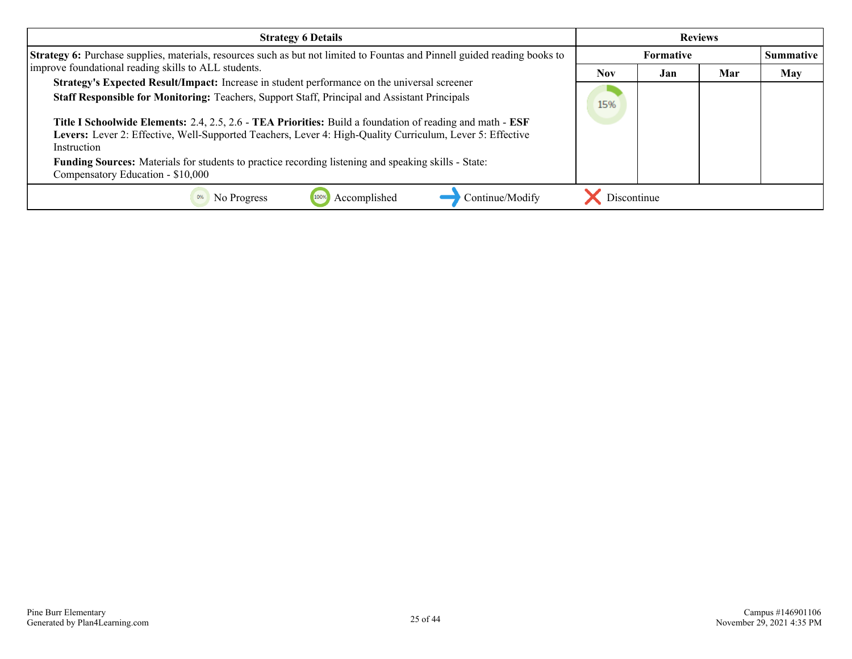| <b>Strategy 6 Details</b>                                                                                                                                                                                                             | <b>Reviews</b> |                  |     |            |
|---------------------------------------------------------------------------------------------------------------------------------------------------------------------------------------------------------------------------------------|----------------|------------------|-----|------------|
| Strategy 6: Purchase supplies, materials, resources such as but not limited to Fountas and Pinnell guided reading books to                                                                                                            |                | <b>Formative</b> |     | Summative  |
| improve foundational reading skills to ALL students.                                                                                                                                                                                  | <b>Nov</b>     | Jan              | Mar | <b>May</b> |
| Strategy's Expected Result/Impact: Increase in student performance on the universal screener                                                                                                                                          |                |                  |     |            |
| Staff Responsible for Monitoring: Teachers, Support Staff, Principal and Assistant Principals                                                                                                                                         | 15%            |                  |     |            |
| Title I Schoolwide Elements: 2.4, 2.5, 2.6 - TEA Priorities: Build a foundation of reading and math - ESF<br>Levers: Lever 2: Effective, Well-Supported Teachers, Lever 4: High-Quality Curriculum, Lever 5: Effective<br>Instruction |                |                  |     |            |
| Funding Sources: Materials for students to practice recording listening and speaking skills - State:<br>Compensatory Education - \$10,000                                                                                             |                |                  |     |            |
| Continue/Modify<br>No Progress<br>Accomplished                                                                                                                                                                                        | Discontinue    |                  |     |            |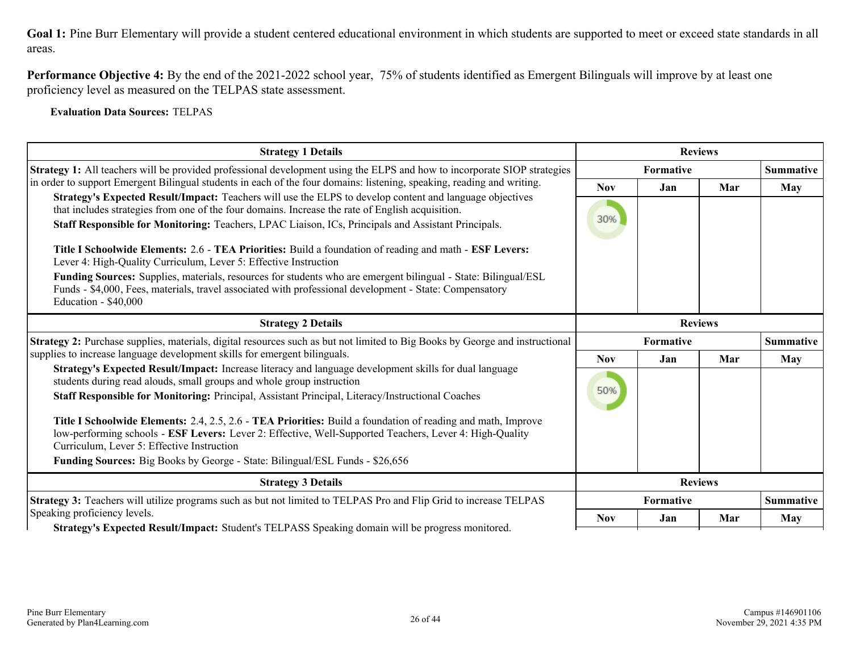**Performance Objective 4:** By the end of the 2021-2022 school year, 75% of students identified as Emergent Bilinguals will improve by at least one proficiency level as measured on the TELPAS state assessment.

**Evaluation Data Sources:** TELPAS

| <b>Strategy 1 Details</b>                                                                                                                                                                                                                                                                                                                                                                                                                                                                                                                                                                                                                                                                                                                                                                                                                                                         | <b>Reviews</b>    |                               |     |                  |
|-----------------------------------------------------------------------------------------------------------------------------------------------------------------------------------------------------------------------------------------------------------------------------------------------------------------------------------------------------------------------------------------------------------------------------------------------------------------------------------------------------------------------------------------------------------------------------------------------------------------------------------------------------------------------------------------------------------------------------------------------------------------------------------------------------------------------------------------------------------------------------------|-------------------|-------------------------------|-----|------------------|
| Strategy 1: All teachers will be provided professional development using the ELPS and how to incorporate SIOP strategies                                                                                                                                                                                                                                                                                                                                                                                                                                                                                                                                                                                                                                                                                                                                                          |                   | Formative<br><b>Summative</b> |     |                  |
| in order to support Emergent Bilingual students in each of the four domains: listening, speaking, reading and writing.<br>Strategy's Expected Result/Impact: Teachers will use the ELPS to develop content and language objectives<br>that includes strategies from one of the four domains. Increase the rate of English acquisition.<br>Staff Responsible for Monitoring: Teachers, LPAC Liaison, ICs, Principals and Assistant Principals.<br>Title I Schoolwide Elements: 2.6 - TEA Priorities: Build a foundation of reading and math - ESF Levers:<br>Lever 4: High-Quality Curriculum, Lever 5: Effective Instruction<br>Funding Sources: Supplies, materials, resources for students who are emergent bilingual - State: Bilingual/ESL<br>Funds - \$4,000, Fees, materials, travel associated with professional development - State: Compensatory<br>Education - \$40,000 | <b>Nov</b><br>30% | Jan                           | Mar | May              |
| <b>Strategy 2 Details</b>                                                                                                                                                                                                                                                                                                                                                                                                                                                                                                                                                                                                                                                                                                                                                                                                                                                         | <b>Reviews</b>    |                               |     |                  |
| Strategy 2: Purchase supplies, materials, digital resources such as but not limited to Big Books by George and instructional                                                                                                                                                                                                                                                                                                                                                                                                                                                                                                                                                                                                                                                                                                                                                      | Formative         |                               |     | <b>Summative</b> |
| supplies to increase language development skills for emergent bilinguals.                                                                                                                                                                                                                                                                                                                                                                                                                                                                                                                                                                                                                                                                                                                                                                                                         | <b>Nov</b>        | Jan                           | Mar | May              |
| Strategy's Expected Result/Impact: Increase literacy and language development skills for dual language<br>students during read alouds, small groups and whole group instruction<br>Staff Responsible for Monitoring: Principal, Assistant Principal, Literacy/Instructional Coaches<br>Title I Schoolwide Elements: 2.4, 2.5, 2.6 - TEA Priorities: Build a foundation of reading and math, Improve<br>low-performing schools - ESF Levers: Lever 2: Effective, Well-Supported Teachers, Lever 4: High-Quality<br>Curriculum, Lever 5: Effective Instruction<br><b>Funding Sources:</b> Big Books by George - State: Bilingual/ESL Funds - \$26,656                                                                                                                                                                                                                               | 50%               |                               |     |                  |
| <b>Strategy 3 Details</b>                                                                                                                                                                                                                                                                                                                                                                                                                                                                                                                                                                                                                                                                                                                                                                                                                                                         |                   | <b>Reviews</b>                |     |                  |
| Strategy 3: Teachers will utilize programs such as but not limited to TELPAS Pro and Flip Grid to increase TELPAS                                                                                                                                                                                                                                                                                                                                                                                                                                                                                                                                                                                                                                                                                                                                                                 |                   | Formative                     |     | <b>Summative</b> |
| Speaking proficiency levels.<br>Strategy's Expected Result/Impact: Student's TELPASS Speaking domain will be progress monitored.                                                                                                                                                                                                                                                                                                                                                                                                                                                                                                                                                                                                                                                                                                                                                  | <b>Nov</b>        | Jan                           | Mar | <b>May</b>       |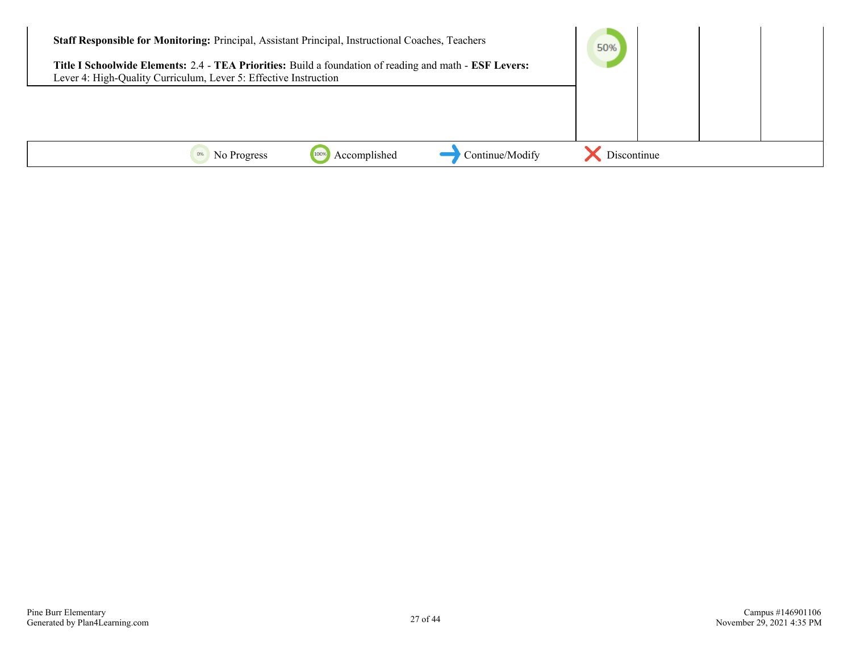| Staff Responsible for Monitoring: Principal, Assistant Principal, Instructional Coaches, Teachers<br>Title I Schoolwide Elements: 2.4 - TEA Priorities: Build a foundation of reading and math - ESF Levers:<br>Lever 4: High-Quality Curriculum, Lever 5: Effective Instruction |              |                 | 50%         |  |
|----------------------------------------------------------------------------------------------------------------------------------------------------------------------------------------------------------------------------------------------------------------------------------|--------------|-----------------|-------------|--|
|                                                                                                                                                                                                                                                                                  |              |                 |             |  |
| No Progress                                                                                                                                                                                                                                                                      | Accomplished | Continue/Modify | Discontinue |  |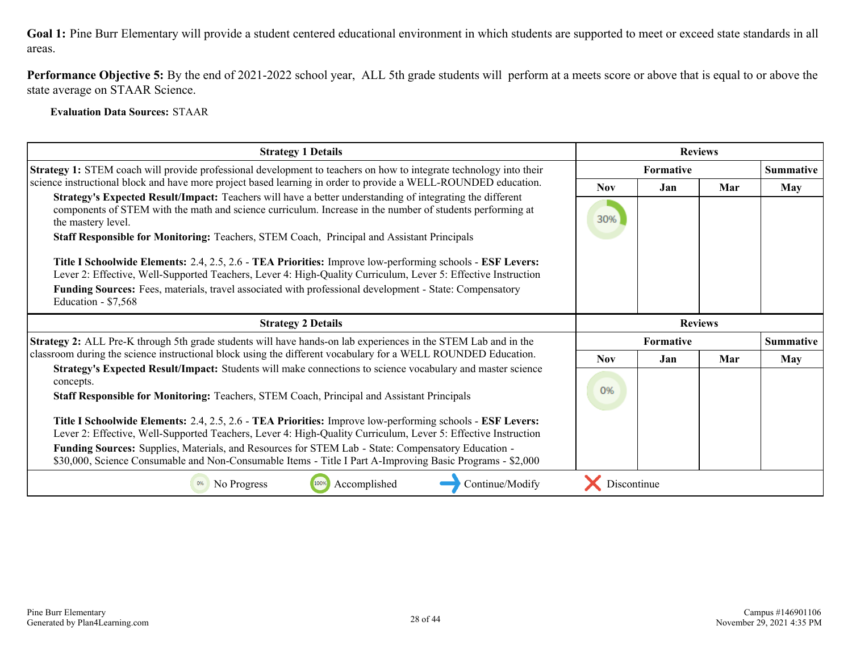**Performance Objective 5:** By the end of 2021-2022 school year, ALL 5th grade students will perform at a meets score or above that is equal to or above the state average on STAAR Science.

**Evaluation Data Sources:** STAAR

| <b>Strategy 1 Details</b>                                                                                                                                                                                                                    | <b>Reviews</b>   |     |                |                  |
|----------------------------------------------------------------------------------------------------------------------------------------------------------------------------------------------------------------------------------------------|------------------|-----|----------------|------------------|
| <b>Strategy 1:</b> STEM coach will provide professional development to teachers on how to integrate technology into their                                                                                                                    | <b>Formative</b> |     |                | <b>Summative</b> |
| science instructional block and have more project based learning in order to provide a WELL-ROUNDED education.                                                                                                                               | <b>Nov</b>       | Jan | Mar            | <b>May</b>       |
| Strategy's Expected Result/Impact: Teachers will have a better understanding of integrating the different<br>components of STEM with the math and science curriculum. Increase in the number of students performing at<br>the mastery level. | 30%              |     |                |                  |
| Staff Responsible for Monitoring: Teachers, STEM Coach, Principal and Assistant Principals                                                                                                                                                   |                  |     |                |                  |
| Title I Schoolwide Elements: 2.4, 2.5, 2.6 - TEA Priorities: Improve low-performing schools - ESF Levers:<br>Lever 2: Effective, Well-Supported Teachers, Lever 4: High-Quality Curriculum, Lever 5: Effective Instruction                   |                  |     |                |                  |
| Funding Sources: Fees, materials, travel associated with professional development - State: Compensatory<br>Education - \$7,568                                                                                                               |                  |     |                |                  |
| <b>Strategy 2 Details</b>                                                                                                                                                                                                                    |                  |     | <b>Reviews</b> |                  |
| Strategy 2: ALL Pre-K through 5th grade students will have hands-on lab experiences in the STEM Lab and in the                                                                                                                               | <b>Formative</b> |     |                | <b>Summative</b> |
| classroom during the science instructional block using the different vocabulary for a WELL ROUNDED Education.                                                                                                                                | <b>Nov</b>       | Jan | Mar            | May              |
| Strategy's Expected Result/Impact: Students will make connections to science vocabulary and master science<br>concepts.                                                                                                                      |                  |     |                |                  |
| Staff Responsible for Monitoring: Teachers, STEM Coach, Principal and Assistant Principals                                                                                                                                                   | 0%               |     |                |                  |
| Title I Schoolwide Elements: 2.4, 2.5, 2.6 - TEA Priorities: Improve low-performing schools - ESF Levers:<br>Lever 2: Effective, Well-Supported Teachers, Lever 4: High-Quality Curriculum, Lever 5: Effective Instruction                   |                  |     |                |                  |
| Funding Sources: Supplies, Materials, and Resources for STEM Lab - State: Compensatory Education -<br>\$30,000, Science Consumable and Non-Consumable Items - Title I Part A-Improving Basic Programs - \$2,000                              |                  |     |                |                  |
| Continue/Modify<br>Accomplished<br>No Progress<br>100%                                                                                                                                                                                       | Discontinue      |     |                |                  |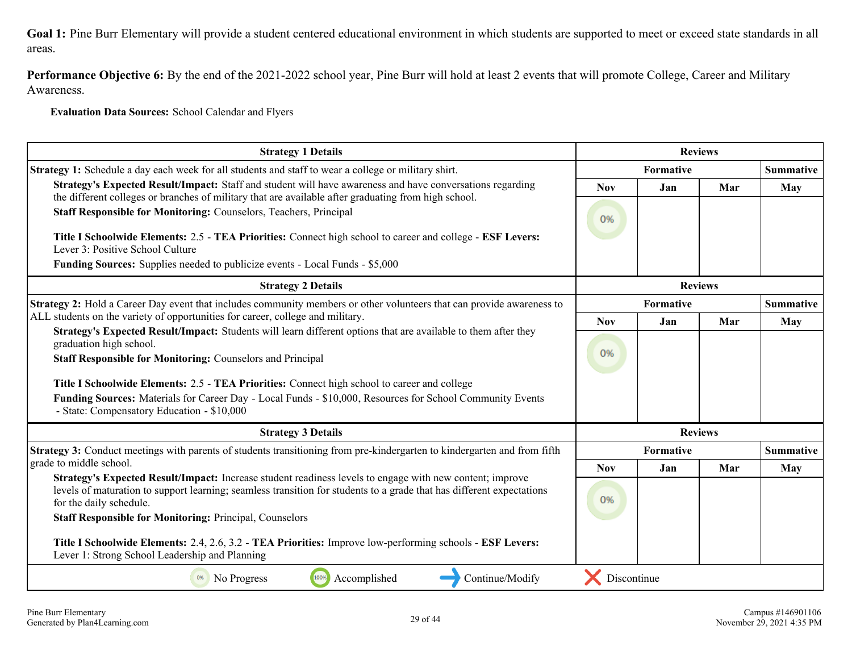**Performance Objective 6:** By the end of the 2021-2022 school year, Pine Burr will hold at least 2 events that will promote College, Career and Military Awareness.

**Evaluation Data Sources:** School Calendar and Flyers

| <b>Strategy 1 Details</b><br><b>Reviews</b>                                                                                                                                                                                                                  |                               |                |     |                  |
|--------------------------------------------------------------------------------------------------------------------------------------------------------------------------------------------------------------------------------------------------------------|-------------------------------|----------------|-----|------------------|
| Strategy 1: Schedule a day each week for all students and staff to wear a college or military shirt.                                                                                                                                                         | Formative<br><b>Summative</b> |                |     |                  |
| Strategy's Expected Result/Impact: Staff and student will have awareness and have conversations regarding                                                                                                                                                    | <b>Nov</b>                    | Jan            | Mar | May              |
| the different colleges or branches of military that are available after graduating from high school.<br>Staff Responsible for Monitoring: Counselors, Teachers, Principal                                                                                    | 0%                            |                |     |                  |
| Title I Schoolwide Elements: 2.5 - TEA Priorities: Connect high school to career and college - ESF Levers:<br>Lever 3: Positive School Culture                                                                                                               |                               |                |     |                  |
| Funding Sources: Supplies needed to publicize events - Local Funds - \$5,000                                                                                                                                                                                 |                               |                |     |                  |
| <b>Strategy 2 Details</b>                                                                                                                                                                                                                                    |                               | <b>Reviews</b> |     |                  |
| Strategy 2: Hold a Career Day event that includes community members or other volunteers that can provide awareness to                                                                                                                                        |                               | Formative      |     | <b>Summative</b> |
| ALL students on the variety of opportunities for career, college and military.<br>Strategy's Expected Result/Impact: Students will learn different options that are available to them after they                                                             | <b>Nov</b>                    | Jan            | Mar | May              |
| graduation high school.                                                                                                                                                                                                                                      |                               |                |     |                  |
| <b>Staff Responsible for Monitoring: Counselors and Principal</b>                                                                                                                                                                                            | 0%                            |                |     |                  |
| Title I Schoolwide Elements: 2.5 - TEA Priorities: Connect high school to career and college                                                                                                                                                                 |                               |                |     |                  |
| Funding Sources: Materials for Career Day - Local Funds - \$10,000, Resources for School Community Events<br>- State: Compensatory Education - \$10,000                                                                                                      |                               |                |     |                  |
| <b>Strategy 3 Details</b>                                                                                                                                                                                                                                    |                               | <b>Reviews</b> |     |                  |
| Strategy 3: Conduct meetings with parents of students transitioning from pre-kindergarten to kindergarten and from fifth                                                                                                                                     |                               | Formative      |     | <b>Summative</b> |
| grade to middle school.                                                                                                                                                                                                                                      | <b>Nov</b>                    | Jan            | Mar | May              |
| Strategy's Expected Result/Impact: Increase student readiness levels to engage with new content; improve<br>levels of maturation to support learning; seamless transition for students to a grade that has different expectations<br>for the daily schedule. | 0%                            |                |     |                  |
| <b>Staff Responsible for Monitoring: Principal, Counselors</b>                                                                                                                                                                                               |                               |                |     |                  |
| Title I Schoolwide Elements: 2.4, 2.6, 3.2 - TEA Priorities: Improve low-performing schools - ESF Levers:<br>Lever 1: Strong School Leadership and Planning                                                                                                  |                               |                |     |                  |
| Accomplished<br>Continue/Modify<br>No Progress<br>100%<br>0%                                                                                                                                                                                                 | Discontinue                   |                |     |                  |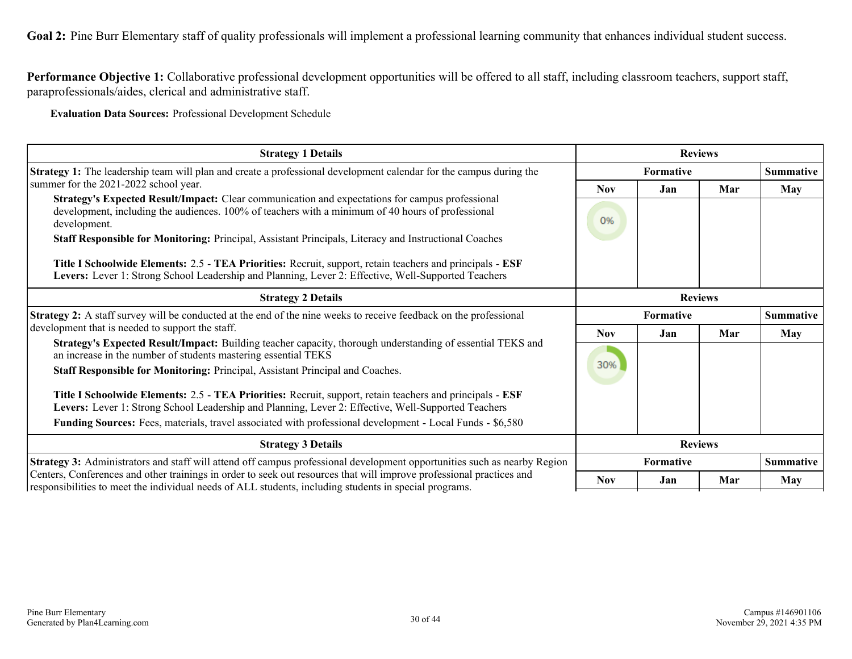Performance Objective 1: Collaborative professional development opportunities will be offered to all staff, including classroom teachers, support staff, paraprofessionals/aides, clerical and administrative staff.

**Evaluation Data Sources:** Professional Development Schedule

| <b>Strategy 1 Details</b>                                                                                                                                                                                                                                            | <b>Reviews</b>                       |                  |                |                  |
|----------------------------------------------------------------------------------------------------------------------------------------------------------------------------------------------------------------------------------------------------------------------|--------------------------------------|------------------|----------------|------------------|
| <b>Strategy 1:</b> The leadership team will plan and create a professional development calendar for the campus during the                                                                                                                                            |                                      | <b>Formative</b> |                | <b>Summative</b> |
| summer for the 2021-2022 school year.                                                                                                                                                                                                                                | <b>Nov</b>                           | Jan              | Mar            | <b>May</b>       |
| Strategy's Expected Result/Impact: Clear communication and expectations for campus professional<br>development, including the audiences. 100% of teachers with a minimum of 40 hours of professional<br>development.                                                 | 0%                                   |                  |                |                  |
| Staff Responsible for Monitoring: Principal, Assistant Principals, Literacy and Instructional Coaches                                                                                                                                                                |                                      |                  |                |                  |
| Title I Schoolwide Elements: 2.5 - TEA Priorities: Recruit, support, retain teachers and principals - ESF<br>Levers: Lever 1: Strong School Leadership and Planning, Lever 2: Effective, Well-Supported Teachers                                                     |                                      |                  |                |                  |
| <b>Strategy 2 Details</b><br><b>Reviews</b>                                                                                                                                                                                                                          |                                      |                  |                |                  |
| <b>Strategy 2:</b> A staff survey will be conducted at the end of the nine weeks to receive feedback on the professional                                                                                                                                             |                                      | <b>Summative</b> |                |                  |
| development that is needed to support the staff.                                                                                                                                                                                                                     | <b>Nov</b>                           | Jan              | Mar            | <b>May</b>       |
| Strategy's Expected Result/Impact: Building teacher capacity, thorough understanding of essential TEKS and<br>an increase in the number of students mastering essential TEKS<br><b>Staff Responsible for Monitoring: Principal, Assistant Principal and Coaches.</b> | 30%                                  |                  |                |                  |
| Title I Schoolwide Elements: 2.5 - TEA Priorities: Recruit, support, retain teachers and principals - ESF<br>Levers: Lever 1: Strong School Leadership and Planning, Lever 2: Effective, Well-Supported Teachers                                                     |                                      |                  |                |                  |
| Funding Sources: Fees, materials, travel associated with professional development - Local Funds - \$6,580                                                                                                                                                            |                                      |                  |                |                  |
| <b>Strategy 3 Details</b>                                                                                                                                                                                                                                            |                                      |                  | <b>Reviews</b> |                  |
| Strategy 3: Administrators and staff will attend off campus professional development opportunities such as nearby Region                                                                                                                                             | <b>Formative</b><br><b>Summative</b> |                  |                |                  |
| Centers, Conferences and other trainings in order to seek out resources that will improve professional practices and<br>responsibilities to meet the individual needs of ALL students, including students in special programs.                                       | <b>Nov</b>                           | Jan              | Mar            | <b>May</b>       |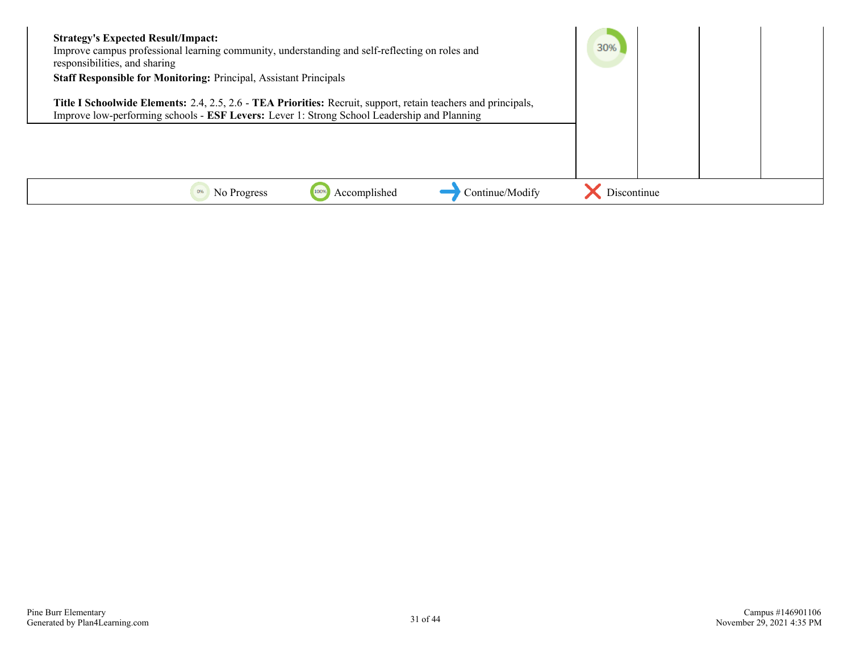| <b>Strategy's Expected Result/Impact:</b><br>Improve campus professional learning community, understanding and self-reflecting on roles and<br>responsibilities, and sharing<br><b>Staff Responsible for Monitoring: Principal, Assistant Principals</b> | 30%         |  |  |
|----------------------------------------------------------------------------------------------------------------------------------------------------------------------------------------------------------------------------------------------------------|-------------|--|--|
| Title I Schoolwide Elements: 2.4, 2.5, 2.6 - TEA Priorities: Recruit, support, retain teachers and principals,<br>Improve low-performing schools - ESF Levers: Lever 1: Strong School Leadership and Planning                                            |             |  |  |
|                                                                                                                                                                                                                                                          |             |  |  |
|                                                                                                                                                                                                                                                          |             |  |  |
| Continue/Modify<br>0%<br>No Progress<br>Accomplished                                                                                                                                                                                                     | Discontinue |  |  |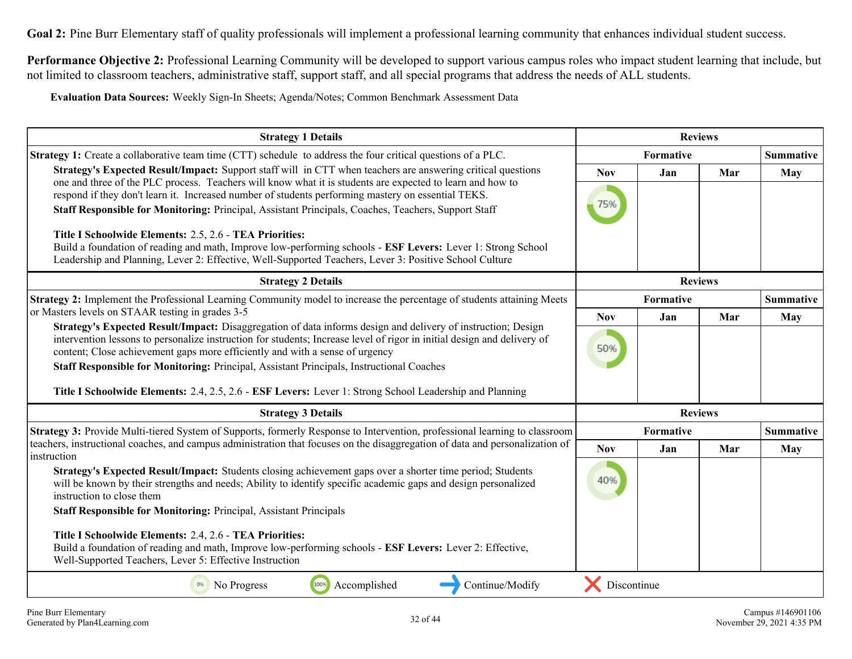**Performance Objective 2:** Professional Learning Community will be developed to support various campus roles who impact student learning that include, but not limited to classroom teachers, administrative staff, support staff, and all special programs that address the needs of ALL students.

**Evaluation Data Sources:** Weekly Sign-In Sheets; Agenda/Notes; Common Benchmark Assessment Data

| <b>Strategy 1 Details</b>                                                                                                                                                                                                                                                                                               |             |                  | <b>Reviews</b> |                  |
|-------------------------------------------------------------------------------------------------------------------------------------------------------------------------------------------------------------------------------------------------------------------------------------------------------------------------|-------------|------------------|----------------|------------------|
| <b>Strategy 1:</b> Create a collaborative team time (CTT) schedule to address the four critical questions of a PLC.                                                                                                                                                                                                     |             | <b>Formative</b> |                | <b>Summative</b> |
| Strategy's Expected Result/Impact: Support staff will in CTT when teachers are answering critical questions<br>one and three of the PLC process. Teachers will know what it is students are expected to learn and how to                                                                                                | <b>Nov</b>  | Jan              | Mar            | May              |
| respond if they don't learn it. Increased number of students performing mastery on essential TEKS.<br>Staff Responsible for Monitoring: Principal, Assistant Principals, Coaches, Teachers, Support Staff                                                                                                               | 75%         |                  |                |                  |
| Title I Schoolwide Elements: 2.5, 2.6 - TEA Priorities:                                                                                                                                                                                                                                                                 |             |                  |                |                  |
| Build a foundation of reading and math, Improve low-performing schools - ESF Levers: Lever 1: Strong School<br>Leadership and Planning, Lever 2: Effective, Well-Supported Teachers, Lever 3: Positive School Culture                                                                                                   |             |                  |                |                  |
| <b>Strategy 2 Details</b>                                                                                                                                                                                                                                                                                               |             |                  | <b>Reviews</b> |                  |
| Strategy 2: Implement the Professional Learning Community model to increase the percentage of students attaining Meets                                                                                                                                                                                                  |             | Formative        |                | <b>Summative</b> |
| or Masters levels on STAAR testing in grades 3-5                                                                                                                                                                                                                                                                        | <b>Nov</b>  | Jan              | Mar            | May              |
| Strategy's Expected Result/Impact: Disaggregation of data informs design and delivery of instruction; Design<br>intervention lessons to personalize instruction for students; Increase level of rigor in initial design and delivery of<br>content; Close achievement gaps more efficiently and with a sense of urgency | 50%         |                  |                |                  |
| Staff Responsible for Monitoring: Principal, Assistant Principals, Instructional Coaches                                                                                                                                                                                                                                |             |                  |                |                  |
| Title I Schoolwide Elements: 2.4, 2.5, 2.6 - ESF Levers: Lever 1: Strong School Leadership and Planning                                                                                                                                                                                                                 |             |                  |                |                  |
| <b>Strategy 3 Details</b>                                                                                                                                                                                                                                                                                               |             |                  | <b>Reviews</b> |                  |
| Strategy 3: Provide Multi-tiered System of Supports, formerly Response to Intervention, professional learning to classroom                                                                                                                                                                                              | Formative   |                  |                | <b>Summative</b> |
| teachers, instructional coaches, and campus administration that focuses on the disaggregation of data and personalization of<br>instruction                                                                                                                                                                             | <b>Nov</b>  | Jan              | Mar            | May              |
| Strategy's Expected Result/Impact: Students closing achievement gaps over a shorter time period; Students<br>will be known by their strengths and needs; Ability to identify specific academic gaps and design personalized<br>instruction to close them                                                                | 40%         |                  |                |                  |
| <b>Staff Responsible for Monitoring: Principal, Assistant Principals</b>                                                                                                                                                                                                                                                |             |                  |                |                  |
| Title I Schoolwide Elements: 2.4, 2.6 - TEA Priorities:                                                                                                                                                                                                                                                                 |             |                  |                |                  |
| Build a foundation of reading and math, Improve low-performing schools - ESF Levers: Lever 2: Effective,<br>Well-Supported Teachers, Lever 5: Effective Instruction                                                                                                                                                     |             |                  |                |                  |
| Accomplished<br>Continue/Modify<br>No Progress<br>100%                                                                                                                                                                                                                                                                  | Discontinue |                  |                |                  |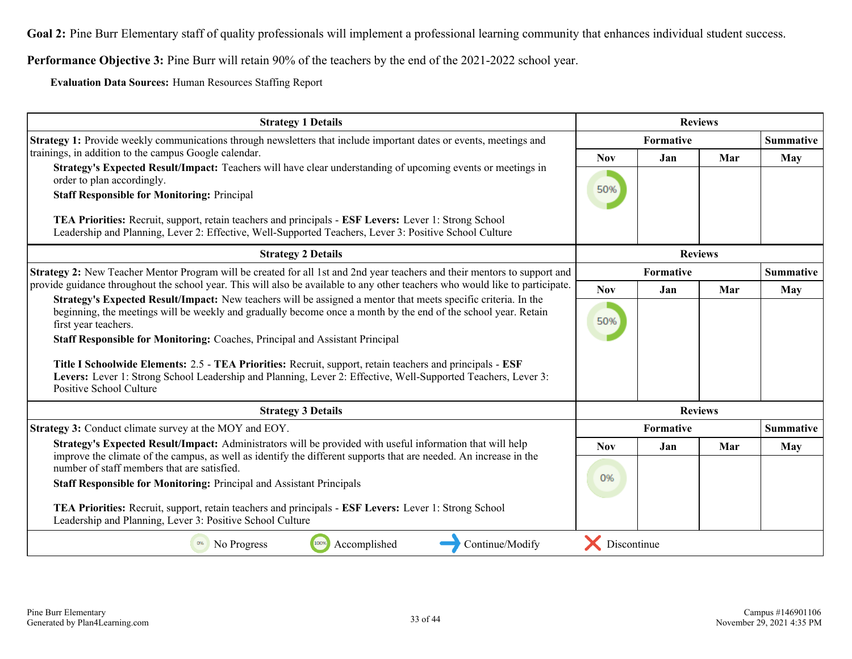**Performance Objective 3:** Pine Burr will retain 90% of the teachers by the end of the 2021-2022 school year.

**Evaluation Data Sources:** Human Resources Staffing Report

| <b>Strategy 1 Details</b>                                                                                                                                                                                                                                |             |           | <b>Reviews</b> |                  |
|----------------------------------------------------------------------------------------------------------------------------------------------------------------------------------------------------------------------------------------------------------|-------------|-----------|----------------|------------------|
| <b>Strategy 1:</b> Provide weekly communications through newsletters that include important dates or events, meetings and                                                                                                                                | Formative   |           |                | <b>Summative</b> |
| trainings, in addition to the campus Google calendar.                                                                                                                                                                                                    | <b>Nov</b>  | Jan       | Mar            | May              |
| Strategy's Expected Result/Impact: Teachers will have clear understanding of upcoming events or meetings in<br>order to plan accordingly.                                                                                                                |             |           |                |                  |
| <b>Staff Responsible for Monitoring: Principal</b>                                                                                                                                                                                                       | 50%         |           |                |                  |
| TEA Priorities: Recruit, support, retain teachers and principals - ESF Levers: Lever 1: Strong School<br>Leadership and Planning, Lever 2: Effective, Well-Supported Teachers, Lever 3: Positive School Culture                                          |             |           |                |                  |
| <b>Strategy 2 Details</b>                                                                                                                                                                                                                                |             |           | <b>Reviews</b> |                  |
| Strategy 2: New Teacher Mentor Program will be created for all 1st and 2nd year teachers and their mentors to support and                                                                                                                                | Formative   |           |                | <b>Summative</b> |
| provide guidance throughout the school year. This will also be available to any other teachers who would like to participate.                                                                                                                            | <b>Nov</b>  | Jan       | Mar            | <b>May</b>       |
| Strategy's Expected Result/Impact: New teachers will be assigned a mentor that meets specific criteria. In the<br>beginning, the meetings will be weekly and gradually become once a month by the end of the school year. Retain<br>first year teachers. | 50%         |           |                |                  |
| Staff Responsible for Monitoring: Coaches, Principal and Assistant Principal                                                                                                                                                                             |             |           |                |                  |
| Title I Schoolwide Elements: 2.5 - TEA Priorities: Recruit, support, retain teachers and principals - ESF<br>Levers: Lever 1: Strong School Leadership and Planning, Lever 2: Effective, Well-Supported Teachers, Lever 3:<br>Positive School Culture    |             |           |                |                  |
| <b>Strategy 3 Details</b>                                                                                                                                                                                                                                |             |           | <b>Reviews</b> |                  |
| Strategy 3: Conduct climate survey at the MOY and EOY.                                                                                                                                                                                                   |             | Formative |                | <b>Summative</b> |
| Strategy's Expected Result/Impact: Administrators will be provided with useful information that will help<br>improve the climate of the campus, as well as identify the different supports that are needed. An increase in the                           | <b>Nov</b>  | Jan       | Mar            | <b>May</b>       |
| number of staff members that are satisfied.                                                                                                                                                                                                              |             |           |                |                  |
| <b>Staff Responsible for Monitoring: Principal and Assistant Principals</b>                                                                                                                                                                              | 0%          |           |                |                  |
| TEA Priorities: Recruit, support, retain teachers and principals - ESF Levers: Lever 1: Strong School<br>Leadership and Planning, Lever 3: Positive School Culture                                                                                       |             |           |                |                  |
| 100%<br>Accomplished<br>Continue/Modify<br>0%<br>No Progress                                                                                                                                                                                             | Discontinue |           |                |                  |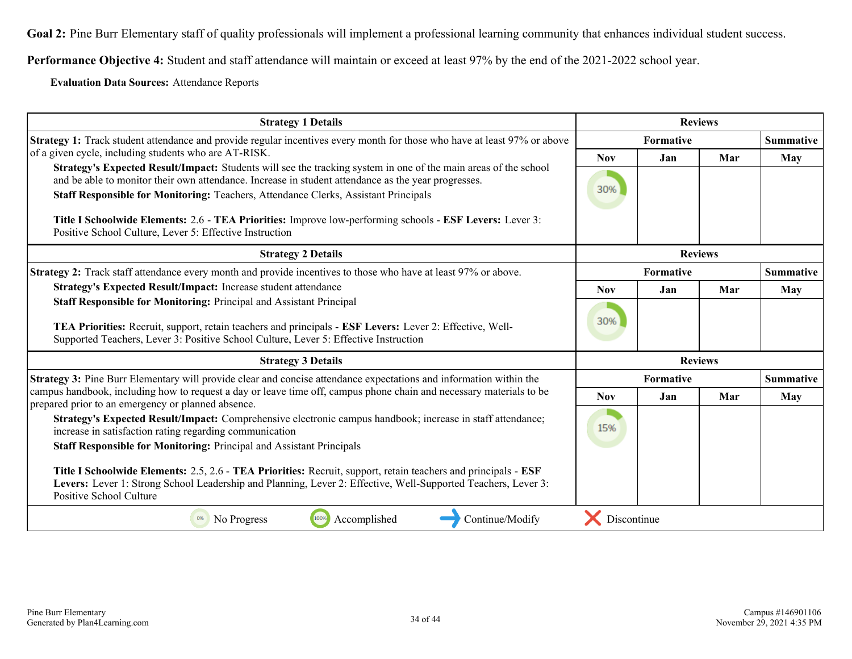**Performance Objective 4:** Student and staff attendance will maintain or exceed at least 97% by the end of the 2021-2022 school year.

**Evaluation Data Sources:** Attendance Reports

| <b>Strategy 1 Details</b>                                                                                                                                                                                                                                                                                     |                  |           | <b>Reviews</b> |                  |
|---------------------------------------------------------------------------------------------------------------------------------------------------------------------------------------------------------------------------------------------------------------------------------------------------------------|------------------|-----------|----------------|------------------|
| Strategy 1: Track student attendance and provide regular incentives every month for those who have at least 97% or above                                                                                                                                                                                      | Formative        |           |                | <b>Summative</b> |
| of a given cycle, including students who are AT-RISK.                                                                                                                                                                                                                                                         | <b>Nov</b>       | Jan       | Mar            | May              |
| Strategy's Expected Result/Impact: Students will see the tracking system in one of the main areas of the school<br>and be able to monitor their own attendance. Increase in student attendance as the year progresses.<br>Staff Responsible for Monitoring: Teachers, Attendance Clerks, Assistant Principals | 30%              |           |                |                  |
| Title I Schoolwide Elements: 2.6 - TEA Priorities: Improve low-performing schools - ESF Levers: Lever 3:<br>Positive School Culture, Lever 5: Effective Instruction                                                                                                                                           |                  |           |                |                  |
| <b>Strategy 2 Details</b>                                                                                                                                                                                                                                                                                     |                  |           | <b>Reviews</b> |                  |
| Strategy 2: Track staff attendance every month and provide incentives to those who have at least 97% or above.                                                                                                                                                                                                |                  | Formative |                | <b>Summative</b> |
| Strategy's Expected Result/Impact: Increase student attendance                                                                                                                                                                                                                                                | <b>Nov</b>       | Jan       | Mar            | <b>May</b>       |
| Staff Responsible for Monitoring: Principal and Assistant Principal<br>TEA Priorities: Recruit, support, retain teachers and principals - ESF Levers: Lever 2: Effective, Well-<br>Supported Teachers, Lever 3: Positive School Culture, Lever 5: Effective Instruction                                       | 30%              |           |                |                  |
| <b>Strategy 3 Details</b>                                                                                                                                                                                                                                                                                     |                  |           | <b>Reviews</b> |                  |
| Strategy 3: Pine Burr Elementary will provide clear and concise attendance expectations and information within the                                                                                                                                                                                            | <b>Formative</b> |           |                | <b>Summative</b> |
| campus handbook, including how to request a day or leave time off, campus phone chain and necessary materials to be<br>prepared prior to an emergency or planned absence.                                                                                                                                     | <b>Nov</b>       | Jan       | Mar            | May              |
| Strategy's Expected Result/Impact: Comprehensive electronic campus handbook; increase in staff attendance;<br>increase in satisfaction rating regarding communication                                                                                                                                         | 15%              |           |                |                  |
| <b>Staff Responsible for Monitoring: Principal and Assistant Principals</b>                                                                                                                                                                                                                                   |                  |           |                |                  |
| Title I Schoolwide Elements: 2.5, 2.6 - TEA Priorities: Recruit, support, retain teachers and principals - ESF<br>Levers: Lever 1: Strong School Leadership and Planning, Lever 2: Effective, Well-Supported Teachers, Lever 3:<br>Positive School Culture                                                    |                  |           |                |                  |
| Accomplished<br>Continue/Modify<br>0%<br>No Progress<br>100%                                                                                                                                                                                                                                                  | Discontinue      |           |                |                  |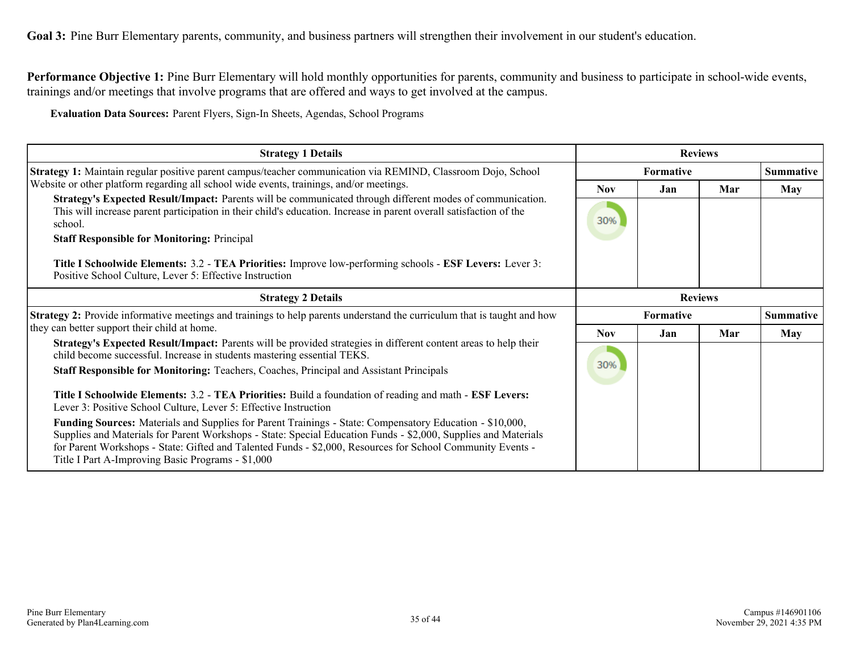**Goal 3:** Pine Burr Elementary parents, community, and business partners will strengthen their involvement in our student's education.

**Performance Objective 1:** Pine Burr Elementary will hold monthly opportunities for parents, community and business to participate in school-wide events, trainings and/or meetings that involve programs that are offered and ways to get involved at the campus.

**Evaluation Data Sources:** Parent Flyers, Sign-In Sheets, Agendas, School Programs

| <b>Strategy 1 Details</b>                                                                                                                                                                                                                                                                                                                                                                            |                               |           | <b>Reviews</b> |            |
|------------------------------------------------------------------------------------------------------------------------------------------------------------------------------------------------------------------------------------------------------------------------------------------------------------------------------------------------------------------------------------------------------|-------------------------------|-----------|----------------|------------|
| Strategy 1: Maintain regular positive parent campus/teacher communication via REMIND, Classroom Dojo, School                                                                                                                                                                                                                                                                                         |                               | Summative |                |            |
| Website or other platform regarding all school wide events, trainings, and/or meetings.                                                                                                                                                                                                                                                                                                              | <b>Nov</b>                    | Jan       | Mar            | <b>May</b> |
| Strategy's Expected Result/Impact: Parents will be communicated through different modes of communication.<br>This will increase parent participation in their child's education. Increase in parent overall satisfaction of the<br>school.                                                                                                                                                           | 30%                           |           |                |            |
| <b>Staff Responsible for Monitoring: Principal</b>                                                                                                                                                                                                                                                                                                                                                   |                               |           |                |            |
| Title I Schoolwide Elements: 3.2 - TEA Priorities: Improve low-performing schools - ESF Levers: Lever 3:<br>Positive School Culture, Lever 5: Effective Instruction                                                                                                                                                                                                                                  |                               |           |                |            |
| <b>Strategy 2 Details</b>                                                                                                                                                                                                                                                                                                                                                                            | <b>Reviews</b>                |           |                |            |
| <b>Strategy 2:</b> Provide informative meetings and trainings to help parents understand the curriculum that is taught and how                                                                                                                                                                                                                                                                       | Summative<br><b>Formative</b> |           |                |            |
| they can better support their child at home.                                                                                                                                                                                                                                                                                                                                                         | <b>Nov</b>                    | Jan       | Mar            | May        |
| Strategy's Expected Result/Impact: Parents will be provided strategies in different content areas to help their<br>child become successful. Increase in students mastering essential TEKS.                                                                                                                                                                                                           | 30%                           |           |                |            |
| <b>Staff Responsible for Monitoring: Teachers, Coaches, Principal and Assistant Principals</b>                                                                                                                                                                                                                                                                                                       |                               |           |                |            |
| Title I Schoolwide Elements: 3.2 - TEA Priorities: Build a foundation of reading and math - ESF Levers:<br>Lever 3: Positive School Culture, Lever 5: Effective Instruction                                                                                                                                                                                                                          |                               |           |                |            |
| <b>Funding Sources:</b> Materials and Supplies for Parent Trainings - State: Compensatory Education - \$10,000,<br>Supplies and Materials for Parent Workshops - State: Special Education Funds - \$2,000, Supplies and Materials<br>for Parent Workshops - State: Gifted and Talented Funds - \$2,000, Resources for School Community Events -<br>Title I Part A-Improving Basic Programs - \$1,000 |                               |           |                |            |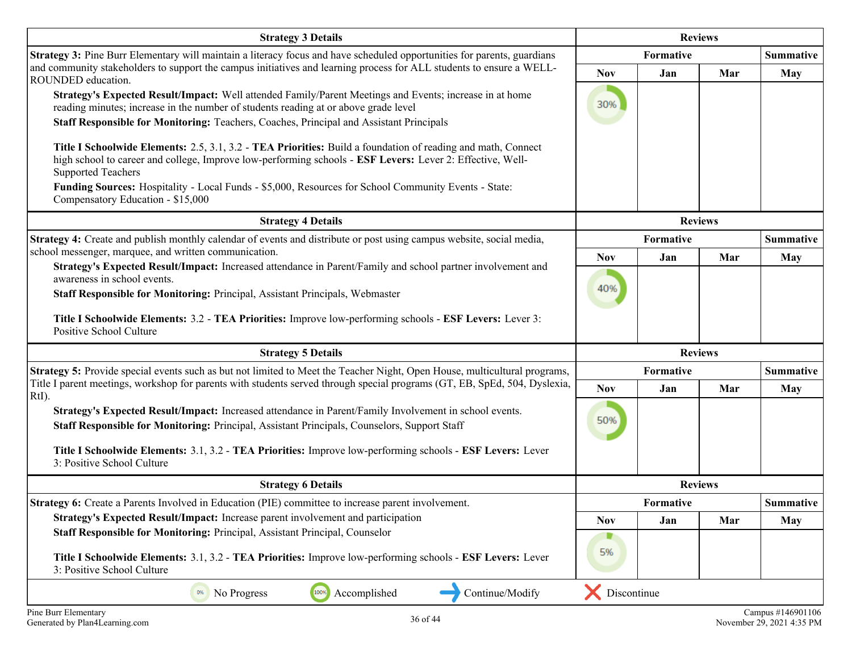| <b>Strategy 3 Details</b>                                                                                                                                                                                                                              | <b>Reviews</b>   |                |                |                  |
|--------------------------------------------------------------------------------------------------------------------------------------------------------------------------------------------------------------------------------------------------------|------------------|----------------|----------------|------------------|
| Strategy 3: Pine Burr Elementary will maintain a literacy focus and have scheduled opportunities for parents, guardians                                                                                                                                |                  | Formative      |                | <b>Summative</b> |
| and community stakeholders to support the campus initiatives and learning process for ALL students to ensure a WELL-<br>ROUNDED education.                                                                                                             | <b>Nov</b>       | Jan            | Mar            | <b>May</b>       |
| Strategy's Expected Result/Impact: Well attended Family/Parent Meetings and Events; increase in at home<br>reading minutes; increase in the number of students reading at or above grade level                                                         | 30%              |                |                |                  |
| Staff Responsible for Monitoring: Teachers, Coaches, Principal and Assistant Principals                                                                                                                                                                |                  |                |                |                  |
| Title I Schoolwide Elements: 2.5, 3.1, 3.2 - TEA Priorities: Build a foundation of reading and math, Connect<br>high school to career and college, Improve low-performing schools - ESF Levers: Lever 2: Effective, Well-<br><b>Supported Teachers</b> |                  |                |                |                  |
| Funding Sources: Hospitality - Local Funds - \$5,000, Resources for School Community Events - State:<br>Compensatory Education - \$15,000                                                                                                              |                  |                |                |                  |
| <b>Strategy 4 Details</b>                                                                                                                                                                                                                              |                  |                | <b>Reviews</b> |                  |
| Strategy 4: Create and publish monthly calendar of events and distribute or post using campus website, social media,                                                                                                                                   |                  | Formative      |                | <b>Summative</b> |
| school messenger, marquee, and written communication.                                                                                                                                                                                                  | <b>Nov</b>       | Jan            | Mar            | <b>May</b>       |
| Strategy's Expected Result/Impact: Increased attendance in Parent/Family and school partner involvement and<br>awareness in school events.                                                                                                             |                  |                |                |                  |
| Staff Responsible for Monitoring: Principal, Assistant Principals, Webmaster                                                                                                                                                                           | 40%              |                |                |                  |
| Title I Schoolwide Elements: 3.2 - TEA Priorities: Improve low-performing schools - ESF Levers: Lever 3:<br>Positive School Culture                                                                                                                    |                  |                |                |                  |
| <b>Strategy 5 Details</b>                                                                                                                                                                                                                              | <b>Reviews</b>   |                |                |                  |
| Strategy 5: Provide special events such as but not limited to Meet the Teacher Night, Open House, multicultural programs,                                                                                                                              | Formative        |                |                | <b>Summative</b> |
| Title I parent meetings, workshop for parents with students served through special programs (GT, EB, SpEd, 504, Dyslexia,<br>RtI).                                                                                                                     | <b>Nov</b>       | Jan            | Mar            | <b>May</b>       |
| Strategy's Expected Result/Impact: Increased attendance in Parent/Family Involvement in school events.<br>Staff Responsible for Monitoring: Principal, Assistant Principals, Counselors, Support Staff                                                 | 50%              |                |                |                  |
| Title I Schoolwide Elements: 3.1, 3.2 - TEA Priorities: Improve low-performing schools - ESF Levers: Lever<br>3: Positive School Culture                                                                                                               |                  |                |                |                  |
| <b>Strategy 6 Details</b>                                                                                                                                                                                                                              |                  | <b>Reviews</b> |                |                  |
| Strategy 6: Create a Parents Involved in Education (PIE) committee to increase parent involvement.                                                                                                                                                     |                  | Formative      |                | <b>Summative</b> |
| Strategy's Expected Result/Impact: Increase parent involvement and participation                                                                                                                                                                       | <b>Nov</b>       | Jan            | Mar            | <b>May</b>       |
| Staff Responsible for Monitoring: Principal, Assistant Principal, Counselor                                                                                                                                                                            |                  |                |                |                  |
| Title I Schoolwide Elements: 3.1, 3.2 - TEA Priorities: Improve low-performing schools - ESF Levers: Lever<br>3: Positive School Culture                                                                                                               | 5%               |                |                |                  |
| 100%<br>Accomplished<br>Continue/Modify<br>No Progress<br>0%                                                                                                                                                                                           | X<br>Discontinue |                |                |                  |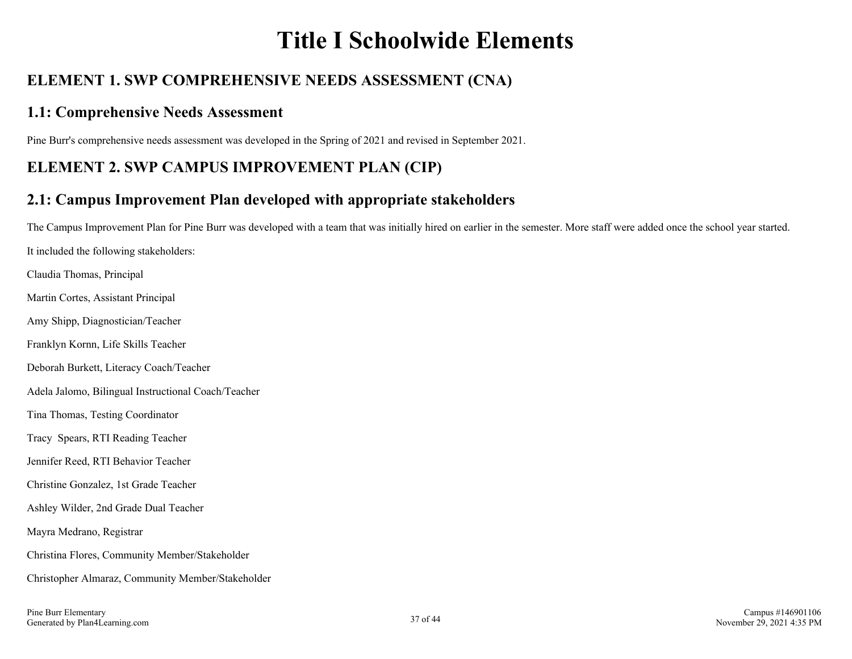# **Title I Schoolwide Elements**

# **ELEMENT 1. SWP COMPREHENSIVE NEEDS ASSESSMENT (CNA)**

## **1.1: Comprehensive Needs Assessment**

Pine Burr's comprehensive needs assessment was developed in the Spring of 2021 and revised in September 2021.

# **ELEMENT 2. SWP CAMPUS IMPROVEMENT PLAN (CIP)**

# **2.1: Campus Improvement Plan developed with appropriate stakeholders**

The Campus Improvement Plan for Pine Burr was developed with a team that was initially hired on earlier in the semester. More staff were added once the school year started. It included the following stakeholders: Claudia Thomas, Principal Martin Cortes, Assistant Principal Amy Shipp, Diagnostician/Teacher Franklyn Kornn, Life Skills Teacher Deborah Burkett, Literacy Coach/Teacher Adela Jalomo, Bilingual Instructional Coach/Teacher Tina Thomas, Testing Coordinator Tracy Spears, RTI Reading Teacher Jennifer Reed, RTI Behavior Teacher Christine Gonzalez, 1st Grade Teacher Ashley Wilder, 2nd Grade Dual Teacher Mayra Medrano, Registrar Christina Flores, Community Member/Stakeholder Christopher Almaraz, Community Member/Stakeholder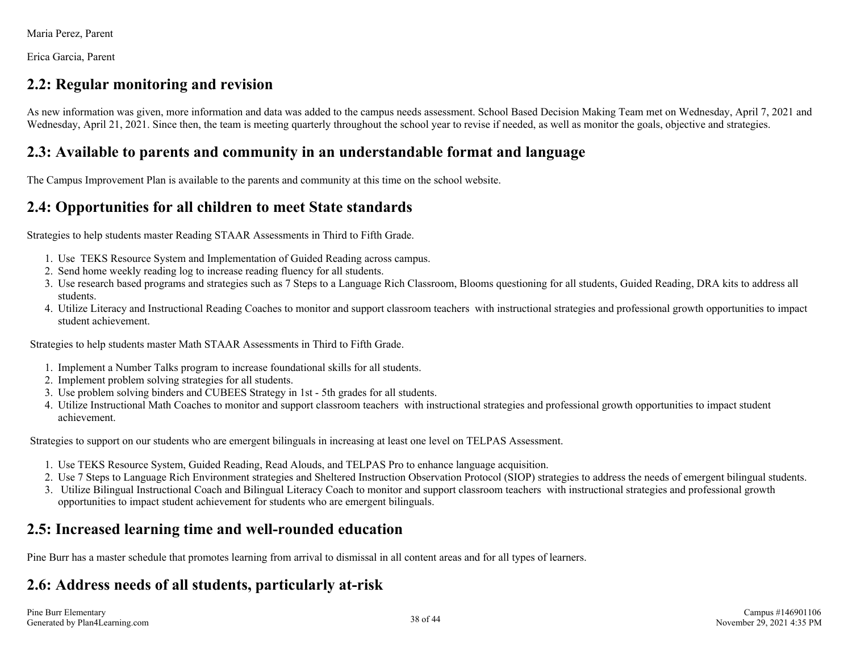Maria Perez, Parent

Erica Garcia, Parent

## **2.2: Regular monitoring and revision**

As new information was given, more information and data was added to the campus needs assessment. School Based Decision Making Team met on Wednesday, April 7, 2021 and Wednesday, April 21, 2021. Since then, the team is meeting quarterly throughout the school year to revise if needed, as well as monitor the goals, objective and strategies.

## **2.3: Available to parents and community in an understandable format and language**

The Campus Improvement Plan is available to the parents and community at this time on the school website.

# **2.4: Opportunities for all children to meet State standards**

Strategies to help students master Reading STAAR Assessments in Third to Fifth Grade.

- 1. Use TEKS Resource System and Implementation of Guided Reading across campus.
- 2. Send home weekly reading log to increase reading fluency for all students.
- Use research based programs and strategies such as 7 Steps to a Language Rich Classroom, Blooms questioning for all students, Guided Reading, DRA kits to address all 3. students.
- Utilize Literacy and Instructional Reading Coaches to monitor and support classroom teachers with instructional strategies and professional growth opportunities to impact 4. student achievement.

Strategies to help students master Math STAAR Assessments in Third to Fifth Grade.

- 1. Implement a Number Talks program to increase foundational skills for all students.
- 2. Implement problem solving strategies for all students.
- 3. Use problem solving binders and CUBEES Strategy in 1st 5th grades for all students.
- Utilize Instructional Math Coaches to monitor and support classroom teachers with instructional strategies and professional growth opportunities to impact student 4. achievement.

Strategies to support on our students who are emergent bilinguals in increasing at least one level on TELPAS Assessment.

- 1. Use TEKS Resource System, Guided Reading, Read Alouds, and TELPAS Pro to enhance language acquisition.
- 2. Use 7 Steps to Language Rich Environment strategies and Sheltered Instruction Observation Protocol (SIOP) strategies to address the needs of emergent bilingual students.
- 3. Utilize Bilingual Instructional Coach and Bilingual Literacy Coach to monitor and support classroom teachers with instructional strategies and professional growth opportunities to impact student achievement for students who are emergent bilinguals.

# **2.5: Increased learning time and well-rounded education**

Pine Burr has a master schedule that promotes learning from arrival to dismissal in all content areas and for all types of learners.

# **2.6: Address needs of all students, particularly at-risk**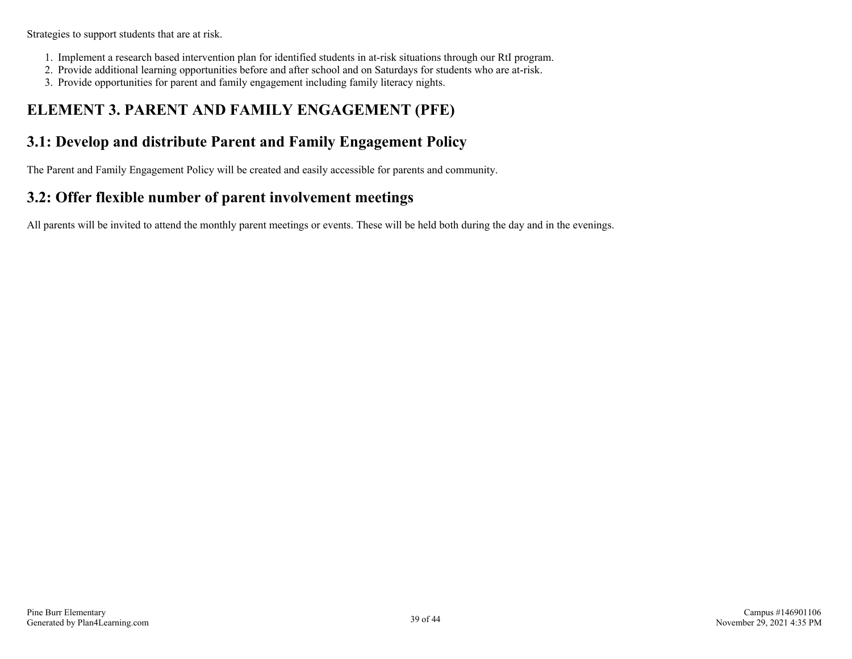Strategies to support students that are at risk.

- 1. Implement a research based intervention plan for identified students in at-risk situations through our RtI program.
- 2. Provide additional learning opportunities before and after school and on Saturdays for students who are at-risk.
- 3. Provide opportunities for parent and family engagement including family literacy nights.

# **ELEMENT 3. PARENT AND FAMILY ENGAGEMENT (PFE)**

## **3.1: Develop and distribute Parent and Family Engagement Policy**

The Parent and Family Engagement Policy will be created and easily accessible for parents and community.

# **3.2: Offer flexible number of parent involvement meetings**

All parents will be invited to attend the monthly parent meetings or events. These will be held both during the day and in the evenings.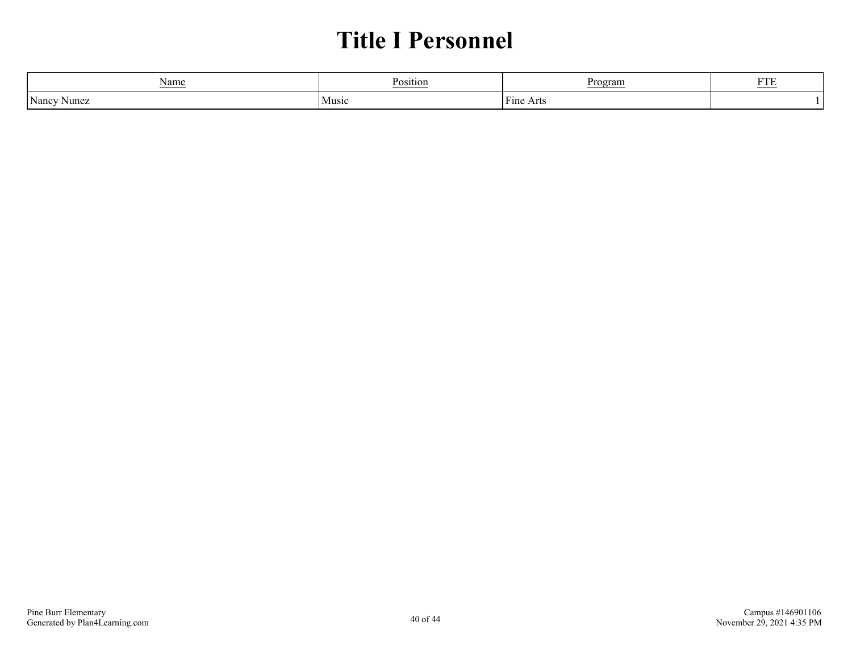# **Title I Personnel**

| Name           | D        | 'rogram             |     |
|----------------|----------|---------------------|-----|
|                | 'osition |                     | --- |
| Nancy<br>Nunez | Music    | Fine<br>rτς<br>ัยเค |     |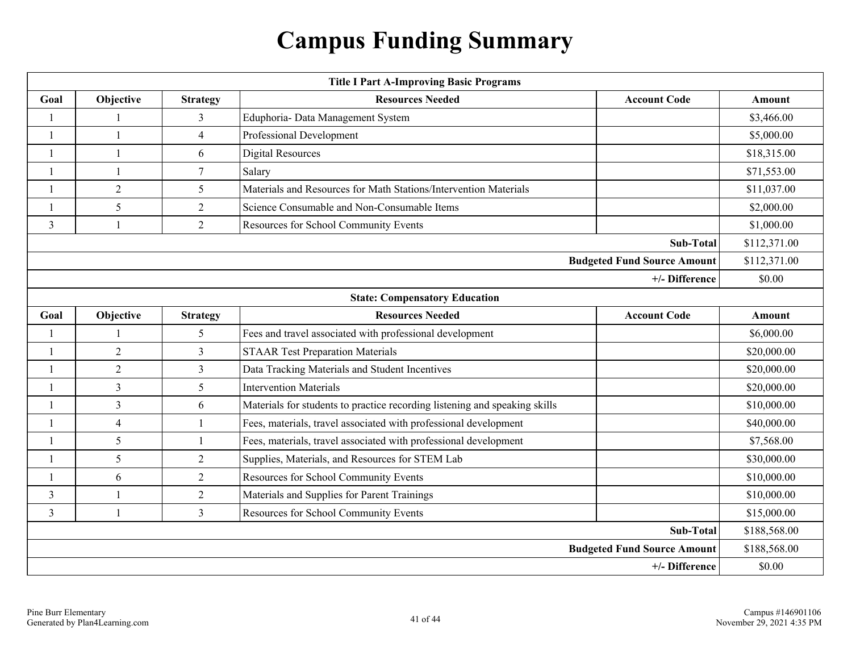# **Campus Funding Summary**

|                                    | <b>Title I Part A-Improving Basic Programs</b> |                 |                                                                            |                     |              |  |  |  |
|------------------------------------|------------------------------------------------|-----------------|----------------------------------------------------------------------------|---------------------|--------------|--|--|--|
| Goal                               | Objective                                      | <b>Strategy</b> | <b>Resources Needed</b>                                                    | <b>Account Code</b> | Amount       |  |  |  |
| $\mathbf{1}$                       |                                                | 3               | Eduphoria- Data Management System                                          |                     | \$3,466.00   |  |  |  |
|                                    | $\mathbf{1}$                                   | 4               | Professional Development                                                   |                     | \$5,000.00   |  |  |  |
| $\mathbf{1}$                       | $\mathbf{1}$                                   | 6               | <b>Digital Resources</b>                                                   |                     | \$18,315.00  |  |  |  |
| $\mathbf{1}$                       | $\overline{\phantom{a}}$                       | $\tau$          | Salary                                                                     |                     | \$71,553.00  |  |  |  |
| -1                                 | $\overline{2}$                                 | 5               | Materials and Resources for Math Stations/Intervention Materials           |                     | \$11,037.00  |  |  |  |
| $\mathbf{1}$                       | 5                                              | $\overline{2}$  | Science Consumable and Non-Consumable Items                                |                     | \$2,000.00   |  |  |  |
| $\mathfrak{Z}$                     | $\mathbf{1}$                                   | $\overline{2}$  | Resources for School Community Events                                      |                     | \$1,000.00   |  |  |  |
|                                    | Sub-Total                                      |                 |                                                                            |                     |              |  |  |  |
| <b>Budgeted Fund Source Amount</b> |                                                |                 |                                                                            |                     |              |  |  |  |
|                                    | +/- Difference                                 |                 |                                                                            |                     |              |  |  |  |
|                                    |                                                |                 | <b>State: Compensatory Education</b>                                       |                     |              |  |  |  |
| Goal                               | Objective                                      | <b>Strategy</b> | <b>Resources Needed</b>                                                    | <b>Account Code</b> | Amount       |  |  |  |
| $\mathbf{1}$                       | $\mathbf{1}$                                   | 5               | Fees and travel associated with professional development                   |                     | \$6,000.00   |  |  |  |
| $\mathbf{1}$                       | $\overline{2}$                                 | $\overline{3}$  | <b>STAAR Test Preparation Materials</b>                                    |                     | \$20,000.00  |  |  |  |
| $\mathbf{1}$                       | $\overline{2}$                                 | $\mathfrak{Z}$  | Data Tracking Materials and Student Incentives                             |                     | \$20,000.00  |  |  |  |
| $\mathbf{1}$                       | 3                                              | 5               | <b>Intervention Materials</b>                                              |                     | \$20,000.00  |  |  |  |
| $\overline{1}$                     | $\overline{3}$                                 | 6               | Materials for students to practice recording listening and speaking skills |                     | \$10,000.00  |  |  |  |
| $\mathbf{1}$                       | $\overline{4}$                                 | $\mathbf{1}$    | Fees, materials, travel associated with professional development           |                     | \$40,000.00  |  |  |  |
| $\mathbf{1}$                       | 5                                              | $\mathbf{1}$    | Fees, materials, travel associated with professional development           |                     | \$7,568.00   |  |  |  |
| $\mathbf{1}$                       | 5                                              | $\overline{2}$  | Supplies, Materials, and Resources for STEM Lab                            |                     | \$30,000.00  |  |  |  |
| $\mathbf{1}$                       | 6                                              | $\overline{2}$  | Resources for School Community Events                                      |                     | \$10,000.00  |  |  |  |
| 3                                  | $\mathbf{1}$                                   | $\overline{2}$  | Materials and Supplies for Parent Trainings                                |                     | \$10,000.00  |  |  |  |
| $\mathfrak{Z}$                     | $\mathbf{1}$                                   | $\mathfrak{Z}$  | Resources for School Community Events                                      |                     | \$15,000.00  |  |  |  |
| Sub-Total                          |                                                |                 |                                                                            |                     | \$188,568.00 |  |  |  |
| <b>Budgeted Fund Source Amount</b> |                                                |                 |                                                                            |                     | \$188,568.00 |  |  |  |
| +/- Difference                     |                                                |                 |                                                                            |                     | \$0.00       |  |  |  |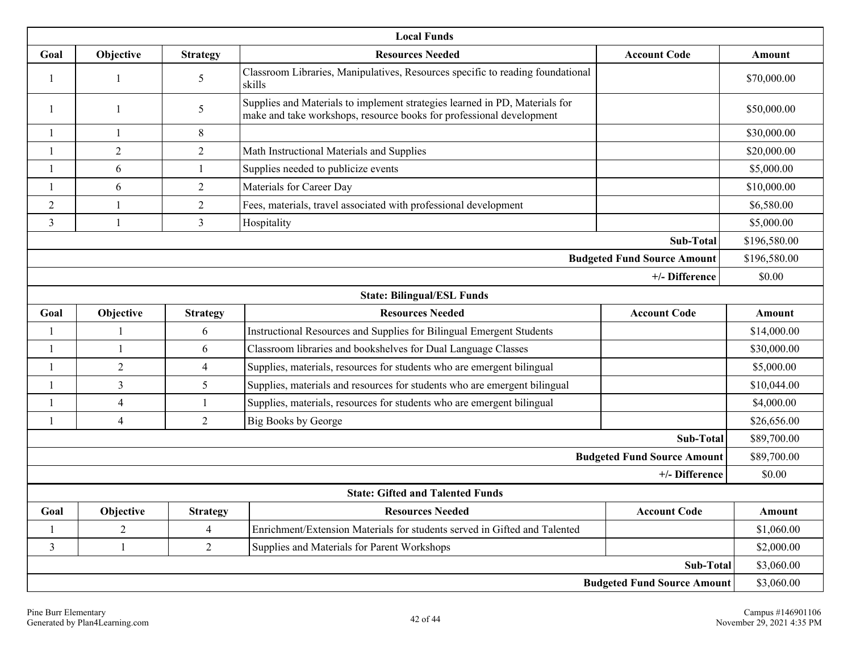|                                    |                                                                                                                                                               |                 | <b>Local Funds</b>                                                                       |                                    |              |  |  |  |
|------------------------------------|---------------------------------------------------------------------------------------------------------------------------------------------------------------|-----------------|------------------------------------------------------------------------------------------|------------------------------------|--------------|--|--|--|
| Goal                               | Objective                                                                                                                                                     | <b>Strategy</b> | <b>Resources Needed</b>                                                                  | <b>Account Code</b>                | Amount       |  |  |  |
| -1                                 | -1                                                                                                                                                            | 5               | Classroom Libraries, Manipulatives, Resources specific to reading foundational<br>skills |                                    | \$70,000.00  |  |  |  |
| $\mathbf{1}$                       | Supplies and Materials to implement strategies learned in PD, Materials for<br>5<br>1<br>make and take workshops, resource books for professional development |                 |                                                                                          | \$50,000.00                        |              |  |  |  |
| $\mathbf{1}$                       | $\mathbf{1}$                                                                                                                                                  | 8               |                                                                                          |                                    | \$30,000.00  |  |  |  |
|                                    | $\overline{2}$                                                                                                                                                | 2               | Math Instructional Materials and Supplies                                                |                                    | \$20,000.00  |  |  |  |
| $\overline{\phantom{a}}$           | 6                                                                                                                                                             |                 | Supplies needed to publicize events                                                      |                                    | \$5,000.00   |  |  |  |
| -1                                 | 6                                                                                                                                                             | 2               | Materials for Career Day                                                                 |                                    | \$10,000.00  |  |  |  |
| $\overline{2}$                     | $\mathbf{1}$                                                                                                                                                  | $\overline{2}$  | Fees, materials, travel associated with professional development                         |                                    | \$6,580.00   |  |  |  |
| 3                                  | 1                                                                                                                                                             | 3               | Hospitality                                                                              |                                    | \$5,000.00   |  |  |  |
|                                    |                                                                                                                                                               |                 |                                                                                          | Sub-Total                          | \$196,580.00 |  |  |  |
| <b>Budgeted Fund Source Amount</b> |                                                                                                                                                               |                 |                                                                                          |                                    |              |  |  |  |
| +/- Difference                     |                                                                                                                                                               |                 |                                                                                          |                                    |              |  |  |  |
|                                    |                                                                                                                                                               |                 | <b>State: Bilingual/ESL Funds</b>                                                        |                                    |              |  |  |  |
| Goal                               | Objective                                                                                                                                                     | <b>Strategy</b> | <b>Resources Needed</b>                                                                  | <b>Account Code</b>                | Amount       |  |  |  |
|                                    |                                                                                                                                                               | 6               | Instructional Resources and Supplies for Bilingual Emergent Students                     |                                    | \$14,000.00  |  |  |  |
| $\overline{\phantom{a}}$           |                                                                                                                                                               | 6               | Classroom libraries and bookshelves for Dual Language Classes                            |                                    | \$30,000.00  |  |  |  |
| $\overline{\phantom{a}}$           | $\overline{2}$                                                                                                                                                | $\overline{4}$  | Supplies, materials, resources for students who are emergent bilingual                   |                                    | \$5,000.00   |  |  |  |
| $\mathbf{1}$                       | 3                                                                                                                                                             | 5               | Supplies, materials and resources for students who are emergent bilingual                |                                    | \$10,044.00  |  |  |  |
| $\overline{\phantom{a}}$           | 4                                                                                                                                                             |                 | Supplies, materials, resources for students who are emergent bilingual                   |                                    | \$4,000.00   |  |  |  |
| $\overline{\phantom{a}}$           | 4                                                                                                                                                             | 2               | <b>Big Books by George</b>                                                               |                                    | \$26,656.00  |  |  |  |
|                                    |                                                                                                                                                               |                 |                                                                                          | Sub-Total                          | \$89,700.00  |  |  |  |
|                                    |                                                                                                                                                               |                 |                                                                                          | <b>Budgeted Fund Source Amount</b> | \$89,700.00  |  |  |  |
|                                    |                                                                                                                                                               |                 |                                                                                          | +/- Difference                     | \$0.00       |  |  |  |
|                                    | <b>State: Gifted and Talented Funds</b>                                                                                                                       |                 |                                                                                          |                                    |              |  |  |  |
| Goal                               | Objective                                                                                                                                                     | <b>Strategy</b> | <b>Resources Needed</b>                                                                  | <b>Account Code</b>                | Amount       |  |  |  |
|                                    | $\overline{2}$                                                                                                                                                | $\overline{4}$  | Enrichment/Extension Materials for students served in Gifted and Talented                |                                    | \$1,060.00   |  |  |  |
| $\mathfrak{Z}$                     |                                                                                                                                                               | $\overline{2}$  | Supplies and Materials for Parent Workshops                                              |                                    | \$2,000.00   |  |  |  |
| Sub-Total                          |                                                                                                                                                               |                 |                                                                                          |                                    |              |  |  |  |
| <b>Budgeted Fund Source Amount</b> |                                                                                                                                                               |                 |                                                                                          |                                    | \$3,060.00   |  |  |  |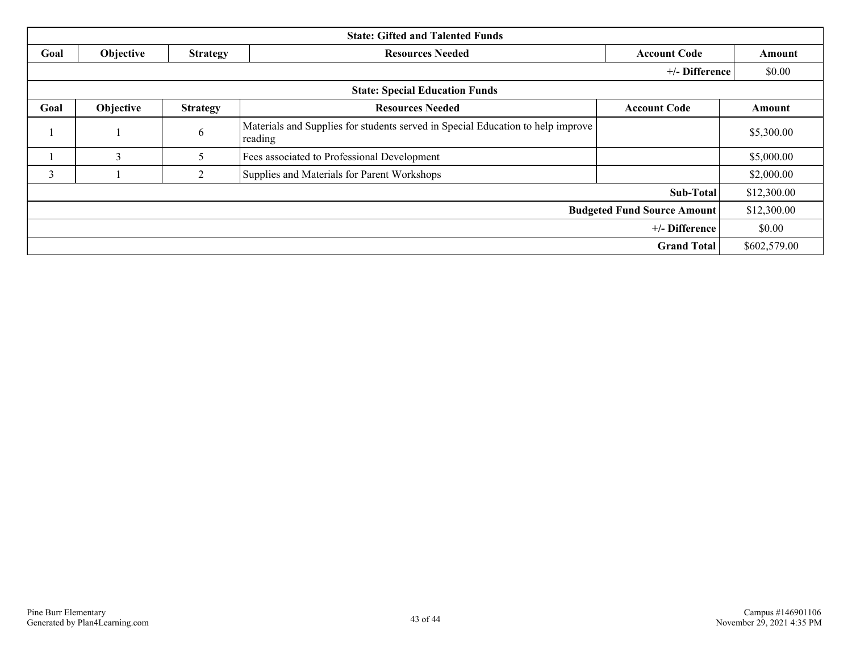| <b>State: Gifted and Talented Funds</b> |           |                 |                                                                                            |                     |              |  |
|-----------------------------------------|-----------|-----------------|--------------------------------------------------------------------------------------------|---------------------|--------------|--|
| Goal                                    | Objective | <b>Strategy</b> | <b>Resources Needed</b>                                                                    | <b>Account Code</b> | Amount       |  |
|                                         |           |                 |                                                                                            | +/- Difference      | \$0.00       |  |
| <b>State: Special Education Funds</b>   |           |                 |                                                                                            |                     |              |  |
| Goal                                    | Objective | <b>Strategy</b> | <b>Resources Needed</b>                                                                    | <b>Account Code</b> | Amount       |  |
|                                         |           | 6               | Materials and Supplies for students served in Special Education to help improve<br>reading |                     | \$5,300.00   |  |
|                                         | 3         | 5               | Fees associated to Professional Development                                                |                     | \$5,000.00   |  |
| 3                                       |           | 2               | Supplies and Materials for Parent Workshops                                                |                     | \$2,000.00   |  |
|                                         |           |                 |                                                                                            | Sub-Total           | \$12,300.00  |  |
| <b>Budgeted Fund Source Amount</b>      |           |                 |                                                                                            |                     |              |  |
| +/- Difference                          |           |                 |                                                                                            |                     | \$0.00       |  |
|                                         |           |                 |                                                                                            | <b>Grand Total</b>  | \$602,579.00 |  |